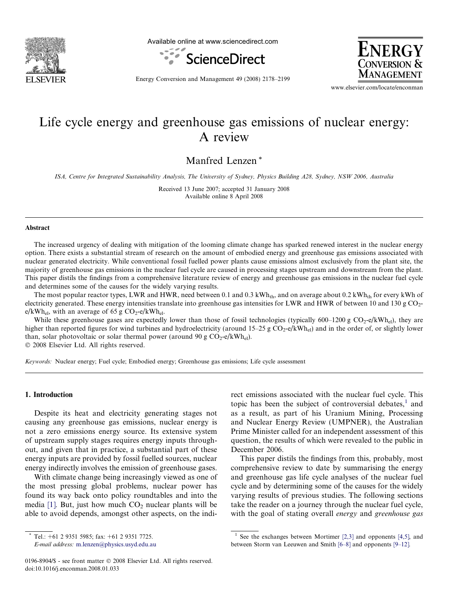

Available online at www.sciencedirect.com





Energy Conversion and Management 49 (2008) 2178–2199

www.elsevier.com/locate/enconman

# Life cycle energy and greenhouse gas emissions of nuclear energy: A review

Manfred Lenzen \*

ISA, Centre for Integrated Sustainability Analysis, The University of Sydney, Physics Building A28, Sydney, NSW 2006, Australia

Received 13 June 2007; accepted 31 January 2008 Available online 8 April 2008

#### Abstract

The increased urgency of dealing with mitigation of the looming climate change has sparked renewed interest in the nuclear energy option. There exists a substantial stream of research on the amount of embodied energy and greenhouse gas emissions associated with nuclear generated electricity. While conventional fossil fuelled power plants cause emissions almost exclusively from the plant site, the majority of greenhouse gas emissions in the nuclear fuel cycle are caused in processing stages upstream and downstream from the plant. This paper distils the findings from a comprehensive literature review of energy and greenhouse gas emissions in the nuclear fuel cycle and determines some of the causes for the widely varying results.

The most popular reactor types, LWR and HWR, need between 0.1 and 0.3 kWh<sub>th</sub>, and on average about 0.2 kWh<sub>th</sub> for every kWh of electricity generated. These energy intensities translate into greenhouse gas intensities for LWR and HWR of between 10 and 130 g CO<sub>2</sub>e/kWh<sub>el</sub>, with an average of 65 g  $CO_2$ -e/kWh<sub>el</sub>.

While these greenhouse gases are expectedly lower than those of fossil technologies (typically 600–1200 g  $CO_2$ -e/kWh<sub>el</sub>), they are higher than reported figures for wind turbines and hydroelectricity (around  $15-25 \text{ g } CO_2$ -e/kWh<sub>el</sub>) and in the order of, or slightly lower than, solar photovoltaic or solar thermal power (around 90 g  $CO_2-e/kWh_{el}$ ).  $© 2008 Elsevier Ltd. All rights reserved.$ 

Keywords: Nuclear energy; Fuel cycle; Embodied energy; Greenhouse gas emissions; Life cycle assessment

## 1. Introduction

Despite its heat and electricity generating stages not causing any greenhouse gas emissions, nuclear energy is not a zero emissions energy source. Its extensive system of upstream supply stages requires energy inputs throughout, and given that in practice, a substantial part of these energy inputs are provided by fossil fuelled sources, nuclear energy indirectly involves the emission of greenhouse gases.

With climate change being increasingly viewed as one of the most pressing global problems, nuclear power has found its way back onto policy roundtables and into the media [\[1\]](#page-18-0). But, just how much  $CO<sub>2</sub>$  nuclear plants will be able to avoid depends, amongst other aspects, on the indirect emissions associated with the nuclear fuel cycle. This topic has been the subject of controversial debates, $<sup>1</sup>$  and</sup> as a result, as part of his Uranium Mining, Processing and Nuclear Energy Review (UMPNER), the Australian Prime Minister called for an independent assessment of this question, the results of which were revealed to the public in December 2006.

This paper distils the findings from this, probably, most comprehensive review to date by summarising the energy and greenhouse gas life cycle analyses of the nuclear fuel cycle and by determining some of the causes for the widely varying results of previous studies. The following sections take the reader on a journey through the nuclear fuel cycle, with the goal of stating overall *energy* and *greenhouse* gas

Tel.:  $+61$  2 9351 5985; fax:  $+61$  2 9351 7725. E-mail address: [m.lenzen@physics.usyd.edu.au](mailto:m.lenzen@physics.usyd.edu.au)

<sup>&</sup>lt;sup>1</sup> See the exchanges between Mortimer  $[2,3]$  and opponents  $[4,5]$ , and between Storm van Leeuwen and Smith [\[6–8\]](#page-18-0) and opponents [\[9–12\]](#page-18-0).

<sup>0196-8904/\$ -</sup> see front matter © 2008 Elsevier Ltd. All rights reserved. doi:10.1016/j.enconman.2008.01.033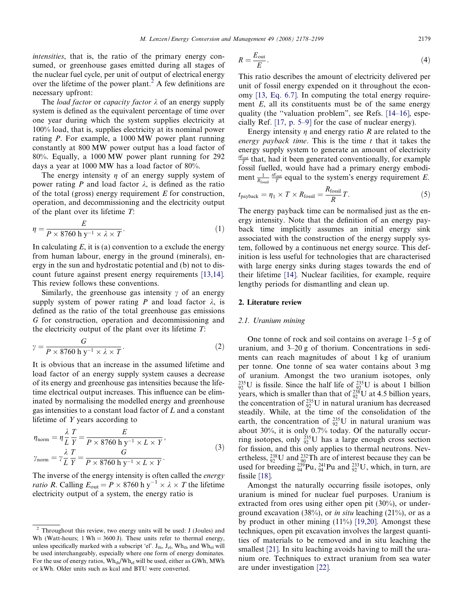<span id="page-1-0"></span>intensities, that is, the ratio of the primary energy consumed, or greenhouse gases emitted during all stages of the nuclear fuel cycle, per unit of output of electrical energy over the lifetime of the power plant.<sup>2</sup> A few definitions are necessary upfront:

The *load factor* or *capacity factor*  $\lambda$  of an energy supply system is defined as the equivalent percentage of time over one year during which the system supplies electricity at 100% load, that is, supplies electricity at its nominal power rating P. For example, a 1000 MW power plant running constantly at 800 MW power output has a load factor of 80%. Equally, a 1000 MW power plant running for 292 days a year at 1000 MW has a load factor of 80%.

The energy intensity  $\eta$  of an energy supply system of power rating P and load factor  $\lambda$ , is defined as the ratio of the total (gross) energy requirement  $E$  for construction, operation, and decommissioning and the electricity output of the plant over its lifetime T:

$$
\eta = \frac{E}{P \times 8760 \, \text{h} \, \text{y}^{-1} \times \lambda \times T}.\tag{1}
$$

In calculating  $E$ , it is (a) convention to a exclude the energy from human labour, energy in the ground (minerals), energy in the sun and hydrostatic potential and (b) not to discount future against present energy requirements [\[13,14\].](#page-18-0) This review follows these conventions.

Similarly, the greenhouse gas intensity  $\gamma$  of an energy supply system of power rating P and load factor  $\lambda$ , is defined as the ratio of the total greenhouse gas emissions G for construction, operation and decommissioning and the electricity output of the plant over its lifetime  $T$ :

$$
\gamma = \frac{G}{P \times 8760 \text{ h y}^{-1} \times \lambda \times T}.
$$
 (2)

It is obvious that an increase in the assumed lifetime and load factor of an energy supply system causes a decrease of its energy and greenhouse gas intensities because the lifetime electrical output increases. This influence can be eliminated by normalising the modelled energy and greenhouse gas intensities to a constant load factor of L and a constant lifetime of Y years according to

$$
\eta_{\text{norm}} = \eta \frac{\lambda}{L} \frac{T}{Y} = \frac{E}{P \times 8760 \text{ h y}^{-1} \times L \times Y},
$$
  

$$
\gamma_{\text{norm}} = \gamma \frac{\lambda}{L} \frac{T}{Y} = \frac{G}{P \times 8760 \text{ h y}^{-1} \times L \times Y}.
$$
 (3)

The inverse of the energy intensity is often called the *energy ratio R*. Calling  $E_{\text{out}} = P \times 8760 \text{ h y}^{-1} \times \lambda \times T$  the lifetime electricity output of a system, the energy ratio is

$$
R = \frac{E_{\text{out}}}{E} \,. \tag{4}
$$

This ratio describes the amount of electricity delivered per unit of fossil energy expended on it throughout the economy [\[13, Eq. 6.7\]](#page-18-0). In computing the total energy requirement  $E$ , all its constituents must be of the same energy quality (the ''valuation problem", see Refs. [\[14–16\],](#page-18-0) especially Ref. [\[17, p. 5–9\]](#page-19-0) for the case of nuclear energy).

Energy intensity  $\eta$  and energy ratio R are related to the energy payback time. This is the time  $t$  that it takes the energy supply system to generate an amount of electricity  $\frac{t_{\text{Eout}}}{T}$  that, had it been generated conventionally, for example fossil fuelled, would have had a primary energy embodiment  $\frac{1}{R_{\text{fossil}}}$   $\frac{dE_{\text{out}}}{T}$  equal to the system's energy requirement E.

$$
t_{\text{payback}} = \eta_1 \times T \times R_{\text{fossil}} = \frac{R_{\text{fossil}}}{R} T. \tag{5}
$$

The energy payback time can be normalised just as the energy intensity. Note that the definition of an energy payback time implicitly assumes an initial energy sink associated with the construction of the energy supply system, followed by a continuous net energy source. This definition is less useful for technologies that are characterised with large energy sinks during stages towards the end of their lifetime [\[14\].](#page-18-0) Nuclear facilities, for example, require lengthy periods for dismantling and clean up.

#### 2. Literature review

# 2.1. Uranium mining

One tonne of rock and soil contains on average 1–5 g of uranium, and 3–20 g of thorium. Concentrations in sediments can reach magnitudes of about 1 kg of uranium per tonne. One tonne of sea water contains about 3 mg of uranium. Amongst the two uranium isotopes, only  $^{235}_{92}$ U is fissile. Since the half life of  $^{235}_{92}$ U is about 1 billion years, which is smaller than that of  $_{92}^{238}$ U at 4.5 billion years, the concentration of  $^{235}_{92}$ U in natural uranium has decreased steadily. While, at the time of the consolidation of the earth, the concentration of  $^{235}_{92}U$  in natural uranium was about 30%, it is only 0.7% today. Of the naturally occurring isotopes, only  ${}^{235}_{92}U$  has a large enough cross section for fission, and this only applies to thermal neutrons. Nevertheless,  $^{238}_{92}$ U and  $^{232}_{90}$ Th are of interest because they can be used for breeding  $^{239}_{94}$ Pu,  $^{241}_{94}$ Pu and  $^{233}_{92}$ U, which, in turn, are fissile [\[18\]](#page-19-0).

Amongst the naturally occurring fissile isotopes, only uranium is mined for nuclear fuel purposes. Uranium is extracted from ores using either open pit (30%), or underground excavation (38%), or *in situ* leaching (21%), or as a by product in other mining (11%) [\[19,20\].](#page-19-0) Amongst these techniques, open pit excavation involves the largest quantities of materials to be removed and in situ leaching the smallest [\[21\].](#page-19-0) In situ leaching avoids having to mill the uranium ore. Techniques to extract uranium from sea water are under investigation [\[22\]](#page-19-0).

<sup>2</sup> Throughout this review, two energy units will be used: J (Joules) and Wh (Watt-hours; 1 Wh = 3600 J). These units refer to thermal energy, unless specifically marked with a subscript 'el'.  $J_{th}$ ,  $J_{el}$ , Wh<sub>th</sub> and Wh<sub>el</sub> will be used interchangeably, especially where one form of energy dominates. For the use of energy ratios,  $Wh_{th}/Wh_{el}$  will be used, either as GWh, MWh or kWh. Older units such as kcal and BTU were converted.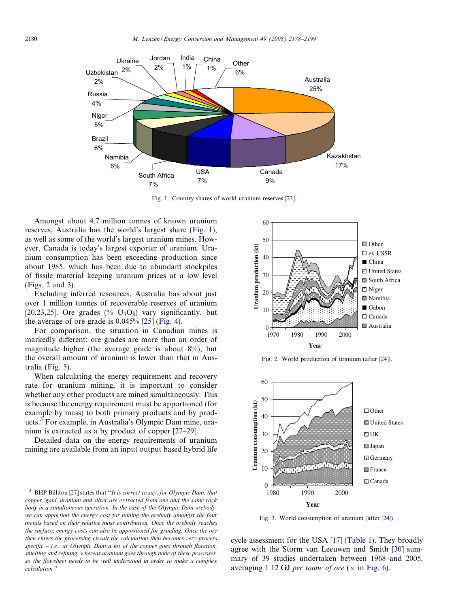

Fig. 1. Country shares of world uranium reserves [\[23\].](#page-19-0)

Amongst about 4.7 million tonnes of known uranium reserves, Australia has the world's largest share (Fig. 1), as well as some of the world's largest uranium mines. However, Canada is today's largest exporter of uranium. Uranium consumption has been exceeding production since about 1985, which has been due to abundant stockpiles of fissile material keeping uranium prices at a low level (Figs. 2 and 3).

Excluding inferred resources, Australia has about just over 1 million tonnes of recoverable reserves of uranium [\[20,23,25\]](#page-19-0). Ore grades (%  $U_3O_8$ ) vary significantly, but the average of ore grade is  $0.045\%$  [\[25\]](#page-19-0) [\(Fig. 4\)](#page-3-0).

For comparison, the situation in Canadian mines is markedly different: ore grades are more than an order of magnitude higher (the average grade is about 8%), but the overall amount of uranium is lower than that in Australia ([Fig. 5](#page-3-0)).

When calculating the energy requirement and recovery rate for uranium mining, it is important to consider whether any other products are mined simultaneously. This is because the energy requirement must be apportioned (for example by mass) to both primary products and by products.<sup>3</sup> For example, in Australia's Olympic Dam mine, uranium is extracted as a by product of copper [\[27–29\]](#page-19-0).

Detailed data on the energy requirements of uranium mining are available from an input output based hybrid life



Fig. 2. World production of uranium (after [\[24\]\)](#page-19-0).



Fig. 3. World consumption of uranium (after [\[24\]\)](#page-19-0).

cycle assessment for the USA [\[17\]](#page-19-0) [\(Table 1\)](#page-3-0). They broadly agree with the Storm van Leeuwen and Smith [\[30\]](#page-19-0) summary of 39 studies undertaken between 1968 and 2005, averaging 1.12 GJ per tonne of ore  $(\times$  in [Fig. 6](#page-3-0)).

BHP Billiton  $[27]$  states that "It is correct to say, for Olympic Dam, that copper, gold, uranium and silver are extracted from one and the same rock body in a simultaneous operation. In the case of the Olympic Dam orebody, we can apportion the energy cost for mining the orebody amongst the four metals based on their relative mass contribution. Once the orebody reaches the surface, energy costs can also be apportioned for grinding. Once the ore then enters the processing circuit the calculation then becomes very process specific - i.e., at Olympic Dam a lot of the copper goes through flotation, smelting and refining, whereas uranium goes through none of these processes, so the flowsheet needs to be well understood in order to make a complex calculation."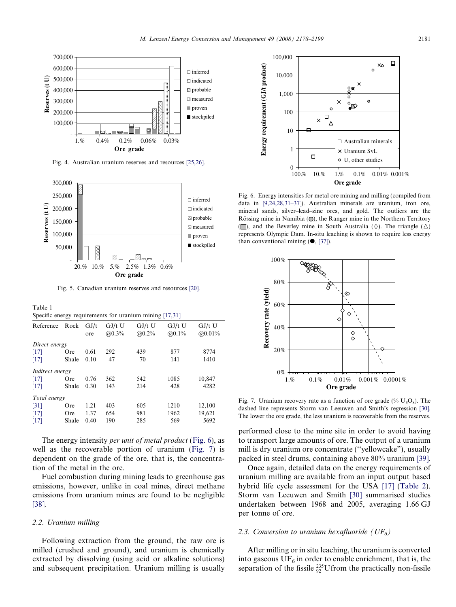<span id="page-3-0"></span>

Fig. 4. Australian uranium reserves and resources [\[25,26\].](#page-19-0)



Fig. 5. Canadian uranium reserves and resources [\[20\]](#page-19-0).

Table 1<br>Specific

| Specific energy requirements for uranium mining [17,31] |       |             |                     |                     |                     |                    |  |
|---------------------------------------------------------|-------|-------------|---------------------|---------------------|---------------------|--------------------|--|
| Reference                                               | Rock  | GJ/t<br>ore | $GI/t$ U<br>(a)0.3% | $GJ/t$ U<br>(a)0.2% | $GJ/t$ U<br>(a)0.1% | $GI/t$ U<br>@0.01% |  |
| Direct energy                                           |       |             |                     |                     |                     |                    |  |
| [17]                                                    | Ore   | 0.61        | 292                 | 439                 | 877                 | 8774               |  |
| [17]                                                    | Shale | 0.10        | 47                  | 70                  | 141                 | 1410               |  |
| Indirect energy                                         |       |             |                     |                     |                     |                    |  |
| [17]                                                    | Ore   | 0.76        | 362                 | 542                 | 1085                | 10,847             |  |
| [17]                                                    | Shale | 0.30        | 143                 | 214                 | 428                 | 4282               |  |
| Total energy                                            |       |             |                     |                     |                     |                    |  |
| $\lceil 31 \rceil$                                      | Ore   | 1.21        | 403                 | 605                 | 1210                | 12,100             |  |
| [17]                                                    | Ore   | 1.37        | 654                 | 981                 | 1962                | 19,621             |  |
| [17]                                                    | Shale | 0.40        | 190                 | 285                 | 569                 | 5692               |  |

The energy intensity *per unit of metal product* (Fig. 6), as well as the recoverable portion of uranium (Fig. 7) is dependent on the grade of the ore, that is, the concentration of the metal in the ore.

Fuel combustion during mining leads to greenhouse gas emissions, however, unlike in coal mines, direct methane emissions from uranium mines are found to be negligible [\[38\].](#page-19-0)

## 2.2. Uranium milling

Following extraction from the ground, the raw ore is milled (crushed and ground), and uranium is chemically extracted by dissolving (using acid or alkaline solutions) and subsequent precipitation. Uranium milling is usually



Fig. 6. Energy intensities for metal ore mining and milling (compiled from data in [\[9,24,28,31–37\]\)](#page-18-0). Australian minerals are uranium, iron ore, mineral sands, silver–lead–zinc ores, and gold. The outliers are the Rössing mine in Namibia  $(O)$ , the Ranger mine in the Northern Territory ( $\Box$ ), and the Beverley mine in South Australia ( $\diamond$ ). The triangle ( $\triangle$ ) represents Olympic Dam. In-situ leaching is shown to require less energy than conventional mining  $(①, [37])$  $(①, [37])$ .



Fig. 7. Uranium recovery rate as a function of ore grade (%  $U_3O_8$ ). The dashed line represents Storm van Leeuwen and Smith's regression [\[30\]](#page-19-0). The lower the ore grade, the less uranium is recoverable from the reserves.

performed close to the mine site in order to avoid having to transport large amounts of ore. The output of a uranium mill is dry uranium ore concentrate (''yellowcake"), usually packed in steel drums, containing above 80% uranium [\[39\].](#page-19-0)

Once again, detailed data on the energy requirements of uranium milling are available from an input output based hybrid life cycle assessment for the USA [\[17\]](#page-19-0) ([Table 2\)](#page-4-0). Storm van Leeuwen and Smith [\[30\]](#page-19-0) summarised studies undertaken between 1968 and 2005, averaging 1.66 GJ per tonne of ore.

## 2.3. Conversion to uranium hexafluoride ( $UF_6$ )

After milling or in situ leaching, the uranium is converted into gaseous  $UF_6$  in order to enable enrichment, that is, the separation of the fissile  $^{235}_{92}$ Ufrom the practically non-fissile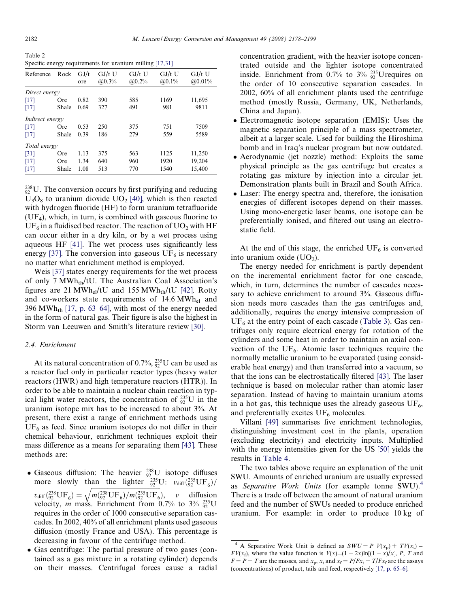<span id="page-4-0"></span>Table 2 Specific energy requirements for uranium milling [\[17,31\]](#page-19-0)

| Reference       | Rock  | GJ/t | $GJ/t$ U | $GJ/t$ U | $GJ/t$ U | $GJ/t$ U |
|-----------------|-------|------|----------|----------|----------|----------|
|                 |       | ore  | (a)0.3%  | (a)0.2%  | (a)0.1%  | (20.01%  |
| Direct energy   |       |      |          |          |          |          |
| [17]            | Ore   | 0.82 | 390      | 585      | 1169     | 11,695   |
| [17]            | Shale | 0.69 | 327      | 491      | 981      | 9811     |
| Indirect energy |       |      |          |          |          |          |
| [17]            | Ore   | 0.53 | 250      | 375      | 751      | 7509     |
| [17]            | Shale | 0.39 | 186      | 279      | 559      | 5589     |
| Total energy    |       |      |          |          |          |          |
| [31]            | Ore   | 1.13 | 375      | 563      | 1125     | 11,250   |
| [17]            | Ore   | 1.34 | 640      | 960      | 1920     | 19,204   |
| [17]            | Shale | 1.08 | 513      | 770      | 1540     | 15,400   |

 $^{238}_{92}$ U. The conversion occurs by first purifying and reducing  $U_3O_8$  to uranium dioxide  $UO_2$  [\[40\]](#page-19-0), which is then reacted with hydrogen fluoride (HF) to form uranium tetrafluoride  $(UF<sub>4</sub>)$ , which, in turn, is combined with gaseous fluorine to  $UF<sub>6</sub>$  in a fluidised bed reactor. The reaction of  $UO<sub>2</sub>$  with HF can occur either in a dry kiln, or by a wet process using aqueous HF [\[41\]](#page-19-0). The wet process uses significantly less energy [\[37\].](#page-19-0) The conversion into gaseous  $UF_6$  is necessary no matter what enrichment method is employed.

Weis [\[37\]](#page-19-0) states energy requirements for the wet process of only 7  $MWh<sub>th</sub>/tU$ . The Australian Coal Association's figures are 21 MWh<sub>el</sub>/tU and 155 MWh<sub>th</sub>/tU [\[42\].](#page-19-0) Rotty and co-workers state requirements of  $14.6 \text{ MWh}_{el}$  and 396 MWh<sub>th</sub> [\[17, p. 63–64\],](#page-19-0) with most of the energy needed in the form of natural gas. Their figure is also the highest in Storm van Leeuwen and Smith's literature review [\[30\]](#page-19-0).

# 2.4. Enrichment

At its natural concentration of  $0.7\%$ ,  $_{92}^{235}$ U can be used as a reactor fuel only in particular reactor types (heavy water reactors (HWR) and high temperature reactors (HTR)). In order to be able to maintain a nuclear chain reaction in typical light water reactors, the concentration of  $^{235}_{92}U$  in the uranium isotope mix has to be increased to about 3%. At present, there exist a range of enrichment methods using  $UF<sub>6</sub>$  as feed. Since uranium isotopes do not differ in their chemical behaviour, enrichment techniques exploit their mass difference as a means for separating them [\[43\]](#page-19-0). These methods are:

- Gaseous diffusion: The heavier  $\frac{238}{92}U$  isotope diffuses more slowly than the lighter  $\frac{235}{92}U$ :  $v_{\text{diff}}\left(\frac{235}{92}UF_6\right)/$  $v_{\text{diff}}(^{238}_{92} \text{UF}_6) = \sqrt{m(^{238}_{92} \text{UF}_6)/m(^{235}_{92} \text{UF}_6)}, \quad v \quad \text{diffusion}$ velocity, *m* mass. Enrichment from 0.7% to  $3\%$   $\frac{235}{92}$ U requires in the order of 1000 consecutive separation cascades. In 2002, 40% of all enrichment plants used gaseous diffusion (mostly France and USA). This percentage is decreasing in favour of the centrifuge method.
- Gas centrifuge: The partial pressure of two gases (contained as a gas mixture in a rotating cylinder) depends on their masses. Centrifugal forces cause a radial

concentration gradient, with the heavier isotope concentrated outside and the lighter isotope concentrated inside. Enrichment from 0.7% to  $3\%$   $\frac{235}{92}$ Urequires on the order of 10 consecutive separation cascades. In 2002, 60% of all enrichment plants used the centrifuge method (mostly Russia, Germany, UK, Netherlands, China and Japan).

- Electromagnetic isotope separation (EMIS): Uses the magnetic separation principle of a mass spectrometer, albeit at a larger scale. Used for building the Hiroshima bomb and in Iraq's nuclear program but now outdated.
- Aerodynamic (jet nozzle) method: Exploits the same physical principle as the gas centrifuge but creates a rotating gas mixture by injection into a circular jet. Demonstration plants built in Brazil and South Africa.
- Laser: The energy spectra and, therefore, the ionisation energies of different isotopes depend on their masses. Using mono-energetic laser beams, one isotope can be preferentially ionised, and filtered out using an electrostatic field.

At the end of this stage, the enriched  $UF_6$  is converted into uranium oxide  $(UO<sub>2</sub>)$ .

The energy needed for enrichment is partly dependent on the incremental enrichment factor for one cascade, which, in turn, determines the number of cascades necessary to achieve enrichment to around 3%. Gaseous diffusion needs more cascades than the gas centrifuges and, additionally, requires the energy intensive compression of  $UF<sub>6</sub>$  at the entry point of each cascade ([Table 3](#page-5-0)). Gas centrifuges only require electrical energy for rotation of the cylinders and some heat in order to maintain an axial convection of the  $UF_6$ . Atomic laser techniques require the normally metallic uranium to be evaporated (using considerable heat energy) and then transferred into a vacuum, so that the ions can be electrostatically filtered [\[43\].](#page-19-0) The laser technique is based on molecular rather than atomic laser separation. Instead of having to maintain uranium atoms in a hot gas, this technique uses the already gaseous  $UF_6$ , and preferentially excites  $UF_6$  molecules.

Villani [\[49\]](#page-19-0) summarises five enrichment technologies, distinguishing investment cost in the plants, operation (excluding electricity) and electricity inputs. Multiplied with the energy intensities given for the US [\[50\]](#page-19-0) yields the results in [Table 4.](#page-6-0)

The two tables above require an explanation of the unit SWU. Amounts of enriched uranium are usually expressed as Separative Work Units (for example tonne SWU). $<sup>4</sup>$ </sup> There is a trade off between the amount of natural uranium feed and the number of SWUs needed to produce enriched uranium. For example: in order to produce 10 kg of

<sup>&</sup>lt;sup>4</sup> A Separative Work Unit is defined as  $SWU = P V(x<sub>p</sub>) + TV(x<sub>t</sub>)$  $FV(x_f)$ , where the value function is  $V(x)=(1-2x)\ln[(1-x)/x]$ , P, T and  $F = P + T$  are the masses, and  $x_p$ ,  $x_t$  and  $x_f = P/Fx_t + T/Fx_f$  are the assays (concentrations) of product, tails and feed, respectively [\[17, p. 65–6\].](#page-19-0)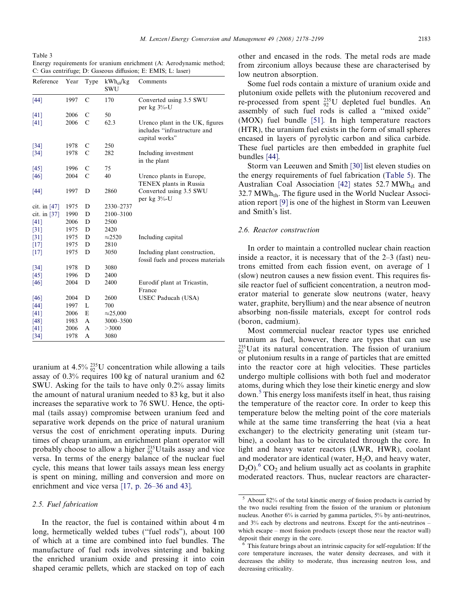<span id="page-5-0"></span>Table 3

Energy requirements for uranium enrichment (A: Aerodynamic method; C: Gas centrifuge; D: Gaseous diffusion; E: EMIS; L: laser)

| Reference          | Year | Type          | $kWh_{el}/kg$<br>SWU | Comments                                                                          |
|--------------------|------|---------------|----------------------|-----------------------------------------------------------------------------------|
| [44]               | 1997 | $\mathcal{C}$ | 170                  | Converted using 3.5 SWU<br>per $kg\frac{3}{6}$ -U                                 |
| [41]               | 2006 | C             | 50                   |                                                                                   |
| [41]               | 2006 | $\mathcal{C}$ | 62.3                 | Urenco plant in the UK, figures<br>includes "infrastructure and<br>capital works" |
| $\lceil 34 \rceil$ | 1978 | C             | 250                  |                                                                                   |
| [34]               | 1978 | C             | 282                  | Including investment<br>in the plant                                              |
| [45]               | 1996 | C             | 75                   |                                                                                   |
| [46]               | 2004 | $\mathcal{C}$ | 40                   | Urenco plants in Europe,<br>TENEX plants in Russia                                |
| $[44]$             | 1997 | D             | 2860                 | Converted using 3.5 SWU<br>per $kg 3%$ -U                                         |
| cit. in $[47]$     | 1975 | D             | 2330-2737            |                                                                                   |
| cit. in $[37]$     | 1990 | D             | 2100-3100            |                                                                                   |
| [41]               | 2006 | D             | 2500                 |                                                                                   |
| $\lceil 31 \rceil$ | 1975 | D             | 2420                 |                                                                                   |
| $\lceil 31 \rceil$ | 1975 | D             | $\approx$ 2520       | Including capital                                                                 |
| [17]               | 1975 | D             | 2810                 |                                                                                   |
| [17]               | 1975 | D             | 3050                 | Including plant construction,<br>fossil fuels and process materials               |
| $[34]$             | 1978 | D             | 3080                 |                                                                                   |
| [45]               | 1996 | D             | 2400                 |                                                                                   |
| [46]               | 2004 | D             | 2400                 | Eurodif plant at Tricastin,<br>France                                             |
| [46]               | 2004 | D             | 2600                 | USEC Paducah (USA)                                                                |
| $[44]$             | 1997 | L             | 700                  |                                                                                   |
| [41]               | 2006 | E             | $\approx$ 25,000     |                                                                                   |
| [48]               | 1983 | A             | 3000-3500            |                                                                                   |
| [41]               | 2006 | A             | >3000                |                                                                                   |
| [34]               | 1978 | A             | 3080                 |                                                                                   |

uranium at  $4.5\% \frac{235}{92}U$  concentration while allowing a tails assay of 0.3% requires 100 kg of natural uranium and 62 SWU. Asking for the tails to have only 0.2% assay limits the amount of natural uranium needed to 83 kg, but it also increases the separative work to 76 SWU. Hence, the optimal (tails assay) compromise between uranium feed and separative work depends on the price of natural uranium versus the cost of enrichment operating inputs. During times of cheap uranium, an enrichment plant operator will probably choose to allow a higher  $_{92}^{235}$ Utails assay and vice versa. In terms of the energy balance of the nuclear fuel cycle, this means that lower tails assays mean less energy is spent on mining, milling and conversion and more on enrichment and vice versa [\[17, p. 26–36 and 43\].](#page-19-0)

## 2.5. Fuel fabrication

In the reactor, the fuel is contained within about 4 m long, hermetically welded tubes ("fuel rods"), about 100 of which at a time are combined into fuel bundles. The manufacture of fuel rods involves sintering and baking the enriched uranium oxide and pressing it into coin shaped ceramic pellets, which are stacked on top of each other and encased in the rods. The metal rods are made from zirconium alloys because these are characterised by low neutron absorption.

Some fuel rods contain a mixture of uranium oxide and plutonium oxide pellets with the plutonium recovered and re-processed from spent  $^{235}_{92}$ U depleted fuel bundles. An assembly of such fuel rods is called a ''mixed oxide" (MOX) fuel bundle [\[51\].](#page-19-0) In high temperature reactors (HTR), the uranium fuel exists in the form of small spheres encased in layers of pyrolytic carbon and silica carbide. These fuel particles are then embedded in graphite fuel bundles [\[44\]](#page-19-0).

Storm van Leeuwen and Smith [\[30\]](#page-19-0) list eleven studies on the energy requirements of fuel fabrication ([Table 5\)](#page-6-0). The Australian Coal Association [\[42\]](#page-19-0) states  $52.7 \text{ MWh}_{el}$  and 32.7 MWh<sub>th</sub>. The figure used in the World Nuclear Association report [\[9\]](#page-18-0) is one of the highest in Storm van Leeuwen and Smith's list.

#### 2.6. Reactor construction

In order to maintain a controlled nuclear chain reaction inside a reactor, it is necessary that of the 2–3 (fast) neutrons emitted from each fission event, on average of 1 (slow) neutron causes a new fission event. This requires fissile reactor fuel of sufficient concentration, a neutron moderator material to generate slow neutrons (water, heavy water, graphite, beryllium) and the near absence of neutron absorbing non-fissile materials, except for control rods (boron, cadmium).

Most commercial nuclear reactor types use enriched uranium as fuel, however, there are types that can use  $^{235}_{92}$ Uat its natural concentration. The fission of uranium or plutonium results in a range of particles that are emitted into the reactor core at high velocities. These particles undergo multiple collisions with both fuel and moderator atoms, during which they lose their kinetic energy and slow down.<sup>5</sup> This energy loss manifests itself in heat, thus raising the temperature of the reactor core. In order to keep this temperature below the melting point of the core materials while at the same time transferring the heat (via a heat exchanger) to the electricity generating unit (steam turbine), a coolant has to be circulated through the core. In light and heavy water reactors (LWR, HWR), coolant and moderator are identical (water,  $H_2O$ , and heavy water,  $D_2O$ .<sup>6</sup> CO<sub>2</sub> and helium usually act as coolants in graphite moderated reactors. Thus, nuclear reactors are character-

 $\frac{5}{5}$  About 82% of the total kinetic energy of fission products is carried by the two nuclei resulting from the fission of the uranium or plutonium nucleus. Another 6% is carried by gamma particles, 5% by anti-neutrinos, and 3% each by electrons and neutrons. Except for the anti-neutrinos – which escape – most fission products (except those near the reactor wall) deposit their energy in the core.

This feature brings about an intrinsic capacity for self-regulation: If the core temperature increases, the water density decreases, and with it decreases the ability to moderate, thus increasing neutron loss, and decreasing criticality.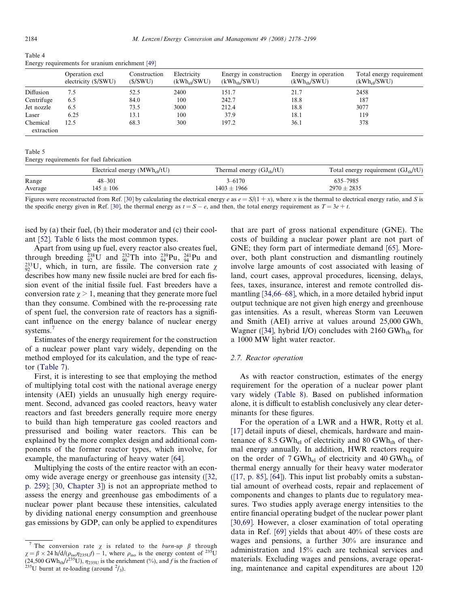<span id="page-6-0"></span>

| ۰, |
|----|
|    |

| Table 4                                         |  |  |
|-------------------------------------------------|--|--|
| Energy requirements for uranium enrichment [49] |  |  |

|            | Operation excl<br>electricity (\$/SWU) | Construction<br>(S/SWU) | Electricity<br>$(kWh_{el}/SWU)$ | Energy in construction<br>$(kWh_{th}/SWU)$ | Energy in operation<br>$(kWh_{th}/SWU)$ | Total energy requirement<br>$(kWh_{el}/SWU)$ |
|------------|----------------------------------------|-------------------------|---------------------------------|--------------------------------------------|-----------------------------------------|----------------------------------------------|
| Diffusion  | 7.5                                    | 52.5                    | 2400                            | 151.7                                      | 21.7                                    | 2458                                         |
| Centrifuge | 6.5                                    | 84.0                    | 100                             | 242.7                                      | 18.8                                    | 187                                          |
| Jet nozzle | 6.5                                    | 73.5                    | 3000                            | 212.4                                      | 18.8                                    | 3077                                         |
| Laser      | 6.25                                   | 13.1                    | 100                             | 37.9                                       | 18.1                                    | 119                                          |
| Chemical   | 12.5                                   | 68.3                    | 300                             | 197.2                                      | 36.1                                    | 378                                          |
| extraction |                                        |                         |                                 |                                            |                                         |                                              |

Table 5

Energy requirements for fuel fabrication

|         | Electrical energy $(MWh_{el}/tU)$ | Thermal energy $(GJ_{th}/tU)$ | Total energy requirement $(GJ_{th}/tU)$ |
|---------|-----------------------------------|-------------------------------|-----------------------------------------|
| Range   | $48 - 301$                        | $3 - 6170$                    | 635-7985                                |
| Average | $145 \pm 106$                     | $1403 \pm 1966$               | $2970 \pm 2835$                         |

Figures were reconstructed from Ref. [\[30\]](#page-19-0) by calculating the electrical energy e as  $e = S/(1 + x)$ , where x is the thermal to electrical energy ratio, and S is the specific energy given in Ref. [\[30\]](#page-19-0), the thermal energy as  $t = S - e$ , and then, the total energy requirement as  $T = 3e + t$ .

ised by (a) their fuel, (b) their moderator and (c) their coolant [\[52\]](#page-19-0). [Table 6](#page-7-0) lists the most common types.

Apart from using up fuel, every reactor also creates fuel, through breeding  ${}^{238}_{92}U$  and  ${}^{232}_{90}Th$  into  ${}^{239}_{94}Pu$ ,  ${}^{241}_{94}Pu$  and  $^{233}_{92}U$ , which, in turn, are fissile. The conversion rate  $\chi$ describes how many new fissile nuclei are bred for each fission event of the initial fissile fuel. Fast breeders have a conversion rate  $\gamma > 1$ , meaning that they generate more fuel than they consume. Combined with the re-processing rate of spent fuel, the conversion rate of reactors has a significant influence on the energy balance of nuclear energy systems.<sup>7</sup>

Estimates of the energy requirement for the construction of a nuclear power plant vary widely, depending on the method employed for its calculation, and the type of reactor [\(Table 7\)](#page-7-0).

First, it is interesting to see that employing the method of multiplying total cost with the national average energy intensity (AEI) yields an unusually high energy requirement. Second, advanced gas cooled reactors, heavy water reactors and fast breeders generally require more energy to build than high temperature gas cooled reactors and pressurised and boiling water reactors. This can be explained by the more complex design and additional components of the former reactor types, which involve, for example, the manufacturing of heavy water [\[64\]](#page-20-0).

Multiplying the costs of the entire reactor with an economy wide average energy or greenhouse gas intensity [\(\[32,](#page-19-0) [p. 259\]](#page-19-0); [\[30, Chapter 3\]\)](#page-19-0) is not an appropriate method to assess the energy and greenhouse gas embodiments of a nuclear power plant because these intensities, calculated by dividing national energy consumption and greenhouse gas emissions by GDP, can only be applied to expenditures that are part of gross national expenditure (GNE). The costs of building a nuclear power plant are not part of GNE; they form part of intermediate demand [\[65\].](#page-20-0) Moreover, both plant construction and dismantling routinely involve large amounts of cost associated with leasing of land, court cases, approval procedures, licensing, delays, fees, taxes, insurance, interest and remote controlled dismantling [\[34,66–68\]](#page-19-0), which, in a more detailed hybrid input output technique are not given high energy and greenhouse gas intensities. As a result, whereas Storm van Leeuwen and Smith (AEI) arrive at values around 25,000 GWh, Wagner ([\[34\]](#page-19-0), hybrid I/O) concludes with  $2160 \text{ GWh}_{th}$  for a 1000 MW light water reactor.

## 2.7. Reactor operation

As with reactor construction, estimates of the energy requirement for the operation of a nuclear power plant vary widely [\(Table 8\)](#page-7-0). Based on published information alone, it is difficult to establish conclusively any clear determinants for these figures.

For the operation of a LWR and a HWR, Rotty et al. [\[17\]](#page-19-0) detail inputs of diesel, chemicals, hardware and maintenance of 8.5 GWh<sub>el</sub> of electricity and 80 GWh<sub>th</sub> of thermal energy annually. In addition, HWR reactors require on the order of  $7 \text{ GWh}_{el}$  of electricity and 40 GWh<sub>th</sub> of thermal energy annually for their heavy water moderator  $(17, p. 85]$ ,  $[64]$ ). This input list probably omits a substantial amount of overhead costs, repair and replacement of components and changes to plants due to regulatory measures. Two studies apply average energy intensities to the entire financial operating budget of the nuclear power plant [\[30,69\].](#page-19-0) However, a closer examination of total operating data in Ref. [\[69\]](#page-20-0) yields that about 40% of these costs are wages and pensions, a further 30% are insurance and administration and 15% each are technical services and materials. Excluding wages and pensions, average operating, maintenance and capital expenditures are about 120

<sup>&</sup>lt;sup>7</sup> The conversion rate  $\chi$  is related to the *burn-up*  $\beta$  through  $\chi = \beta \times 24$  h/d/( $\rho_{\text{iso}}\eta_{235U}$ ) – 1, where  $\rho_{\text{iso}}$  is the energy content of  $^{235}U$ (24,500 GWh<sub>th</sub>/ $t^{235}$ U),  $\eta_{235U}$  is the enrichment (%), and f is the fraction of  $t^{235}$ U burnt at re-loading (around <sup>2</sup>/<sub>3</sub>).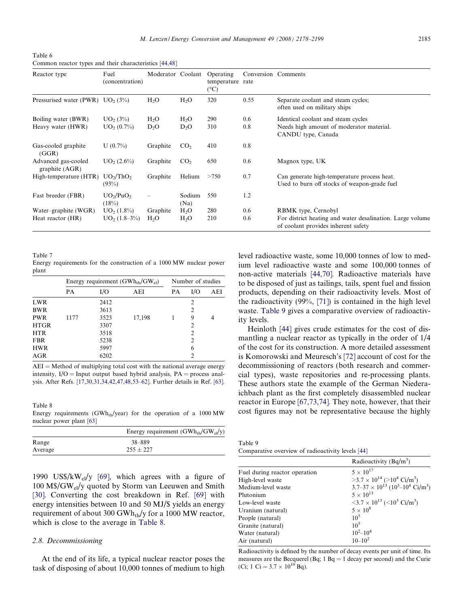<span id="page-7-0"></span>Table 6 Common reactor types and their characteristics [\[44,48\]](#page-19-0)

| Reactor type                             | Fuel<br>(concentration)                        | Moderator Coolant          |                            | Operating<br>temperature rate<br>$(^{\circ}C)$ | Conversion Comments |                                                                                                      |
|------------------------------------------|------------------------------------------------|----------------------------|----------------------------|------------------------------------------------|---------------------|------------------------------------------------------------------------------------------------------|
| Pressurised water (PWR) $UO2$ (3%)       |                                                | $H_2O$                     | $H_2O$                     | 320                                            | 0.55                | Separate coolant and steam cycles;<br>often used on military ships                                   |
| Boiling water (BWR)<br>Heavy water (HWR) | UO <sub>2</sub> (3%)<br>UO <sub>2</sub> (0.7%) | $H_2O$<br>D <sub>2</sub> O | $H_2O$<br>D <sub>2</sub> O | 290<br>310                                     | 0.6<br>0.8          | Identical coolant and steam cycles<br>Needs high amount of moderator material.<br>CANDU type, Canada |
| Gas-cooled graphite<br>(GGR)             | $U(0.7\%)$                                     | Graphite                   | CO <sub>2</sub>            | 410                                            | 0.8                 |                                                                                                      |
| Advanced gas-cooled<br>graphite $(AGR)$  | UO <sub>2</sub> (2.6%)                         | Graphite                   | CO <sub>2</sub>            | 650                                            | 0.6                 | Magnox type, UK                                                                                      |
| High-temperature (HTR)                   | UO <sub>2</sub> /ThO <sub>2</sub><br>(93%)     | Graphite                   | Helium                     | >750                                           | 0.7                 | Can generate high-temperature process heat.<br>Used to burn off stocks of weapon-grade fuel          |
| Fast breeder (FBR)                       | UO <sub>2</sub> /PuO <sub>2</sub><br>(18%)     | $\overline{\phantom{0}}$   | Sodium<br>(Na)             | 550                                            | 1.2                 |                                                                                                      |
| Water-graphite (WGR)                     | UO <sub>2</sub> (1.8%)                         | Graphite                   | H <sub>2</sub> O           | 280                                            | 0.6                 | RBMK type, Cernobyl                                                                                  |
| Heat reactor (HR)                        | $UO2$ (1.8–3%)                                 | $H_2O$                     | $H_2O$                     | 210                                            | 0.6                 | For district heating and water desalination. Large volume<br>of coolant provides inherent safety     |

Table 7

Energy requirements for the construction of a 1000 MW nuclear power plant

|             | Energy requirement $(GWh_{th}/GW_{el})$ |      |        |    | Number of studies |     |  |
|-------------|-----------------------------------------|------|--------|----|-------------------|-----|--|
|             | <b>PA</b>                               | I/O  | AEI    | PA | I/O               | AEI |  |
| LWR         |                                         | 2412 |        |    | $\overline{2}$    |     |  |
| <b>BWR</b>  |                                         | 3613 |        |    | $\overline{2}$    |     |  |
| <b>PWR</b>  | 1177                                    | 3523 | 17,198 |    | 9                 | 4   |  |
| <b>HTGR</b> |                                         | 3307 |        |    | 2                 |     |  |
| <b>HTR</b>  |                                         | 3518 |        |    | $\mathfrak{D}$    |     |  |
| <b>FBR</b>  |                                         | 5238 |        |    | $\mathfrak{D}$    |     |  |
| <b>HWR</b>  |                                         | 5997 |        |    | 6                 |     |  |
| AGR         |                                         | 6202 |        |    | $\mathcal{D}$     |     |  |

 $AEI = Method$  of multiplying total cost with the national average energy intensity,  $I/O = Input$  output based hybrid analysis,  $PA =$  process analysis. After Refs. [\[17,30,31,34,42,47,48,53–62\].](#page-19-0) Further details in Ref. [\[63\]](#page-20-0).

Table 8 Energy requirements (GWh<sub>th</sub>/year) for the operation of a  $1000 \text{ MW}$ nuclear power plant [\[63\]](#page-20-0)

|         | Energy requirement $(GWh_{th}/GW_{el}/y)$ |
|---------|-------------------------------------------|
| Range   | 38-889                                    |
| Average | $255 \pm 227$                             |

1990 US\$/kW<sub>el</sub>/y [\[69\],](#page-20-0) which agrees with a figure of 100 M\$/GWel/y quoted by Storm van Leeuwen and Smith [\[30\].](#page-19-0) Converting the cost breakdown in Ref. [\[69\]](#page-20-0) with energy intensities between 10 and 50 MJ/\$ yields an energy requirement of about 300 GWh<sub>th</sub>/y for a 1000 MW reactor, which is close to the average in Table 8.

## 2.8. Decommissioning

At the end of its life, a typical nuclear reactor poses the task of disposing of about 10,000 tonnes of medium to high level radioactive waste, some 10,000 tonnes of low to medium level radioactive waste and some 100,000 tonnes of non-active materials [\[44,70\].](#page-19-0) Radioactive materials have to be disposed of just as tailings, tails, spent fuel and fission products, depending on their radioactivity levels. Most of the radioactivity (99%, [\[71\]](#page-20-0)) is contained in the high level waste. Table 9 gives a comparative overview of radioactivity levels.

Heinloth [\[44\]](#page-19-0) gives crude estimates for the cost of dismantling a nuclear reactor as typically in the order of 1/4 of the cost for its construction. A more detailed assessment is Komorowski and Meuresch's [\[72\]](#page-20-0) account of cost for the decommissioning of reactors (both research and commercial types), waste repositories and re-processing plants. These authors state the example of the German Niederaichbach plant as the first completely disassembled nuclear reactor in Europe [\[67,73,74\]](#page-20-0). They note, however, that their cost figures may not be representative because the highly

Table 9 Comparative overview of radioactivity levels [\[44\]](#page-19-0)

|                               | Radioactivity $(Bq/m^3)$                                                      |
|-------------------------------|-------------------------------------------------------------------------------|
| Fuel during reactor operation | $5 \times 10^{17}$                                                            |
| High-level waste              | $>3.7\times10^{14}$ ( $>10^{4}$ Ci/m <sup>3</sup> )                           |
| Medium-level waste            | $3.7-37 \times 10^{13}$ (10 <sup>3</sup> -10 <sup>4</sup> Ci/m <sup>3</sup> ) |
| Plutonium                     | $5 \times 10^{13}$                                                            |
| Low-level waste               | $\langle 3.7 \times 10^{13} \ ( \le 10^{3} \text{ Ci/m}^{3} )$                |
| Uranium (natural)             | $5 \times 10^8$                                                               |
| People (natural)              | $10^5$                                                                        |
| Granite (natural)             | $10^5$                                                                        |
| Water (natural)               | $10^2 - 10^4$                                                                 |
| Air (natural)                 | $10 - 10^2$                                                                   |

Radioactivity is defined by the number of decay events per unit of time. Its measures are the Becquerel (Bq; 1 Bq  $=$  1 decay per second) and the Curie (Ci; 1 Ci =  $3.7 \times 10^{10}$  Bq).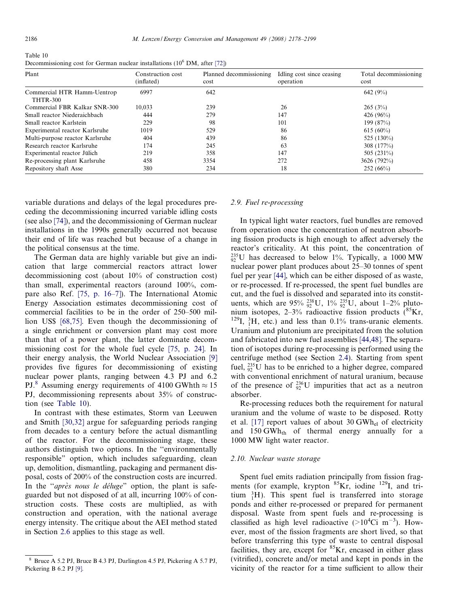Table 10 Decommissioning cost for German nuclear installations  $(10^6 \text{ DM}, \text{ after } [72])$  $(10^6 \text{ DM}, \text{ after } [72])$  $(10^6 \text{ DM}, \text{ after } [72])$ 

| Plant                                          | Construction cost<br>(inflated) | Planned decommissioning<br>cost | Idling cost since ceasing<br>operation | Total decommissioning<br>cost |
|------------------------------------------------|---------------------------------|---------------------------------|----------------------------------------|-------------------------------|
| Commercial HTR Hamm-Uentrop<br><b>THTR-300</b> | 6997                            | 642                             |                                        | 642 (9%)                      |
| Commercial FBR Kalkar SNR-300                  | 10.033                          | 239                             | 26                                     | 265(3%)                       |
| Small reactor Niederaichbach                   | 444                             | 279                             | 147                                    | 426 $(96\%)$                  |
| Small reactor Karlstein                        | 229                             | 98                              | 101                                    | 199 (87%)                     |
| Experimental reactor Karlsruhe                 | 1019                            | 529                             | 86                                     | $615(60\%)$                   |
| Multi-purpose reactor Karlsruhe                | 404                             | 439                             | 86                                     | 525 (130%)                    |
| Research reactor Karlsruhe                     | 174                             | 245                             | 63                                     | 308(177%)                     |
| Experimental reactor Jülich                    | 219                             | 358                             | 147                                    | 505 (231\%)                   |
| Re-processing plant Karlsruhe                  | 458                             | 3354                            | 272                                    | 3626 (792%)                   |
| Repository shaft Asse                          | 380                             | 234                             | 18                                     | 252(66%)                      |

variable durations and delays of the legal procedures preceding the decommissioning incurred variable idling costs (see also [\[74\]\)](#page-20-0), and the decommissioning of German nuclear installations in the 1990s generally occurred not because their end of life was reached but because of a change in the political consensus at the time.

The German data are highly variable but give an indication that large commercial reactors attract lower decommissioning cost (about 10% of construction cost) than small, experimental reactors (around 100%, compare also Ref. [\[75, p. 16–7\]](#page-20-0)). The International Atomic Energy Association estimates decommissioning cost of commercial facilities to be in the order of 250–500 million US\$ [\[68,75\].](#page-20-0) Even though the decommissioning of a single enrichment or conversion plant may cost more than that of a power plant, the latter dominate decommissioning cost for the whole fuel cycle [\[75, p. 24\]](#page-20-0). In their energy analysis, the World Nuclear Association [\[9\]](#page-18-0) provides five figures for decommissioning of existing nuclear power plants, ranging between 4.3 PJ and 6.2 PJ.<sup>8</sup> Assuming energy requirements of 4100 GWhth  $\approx$  15 PJ, decommissioning represents about 35% of construction (see Table 10).

In contrast with these estimates, Storm van Leeuwen and Smith [\[30,32\]](#page-19-0) argue for safeguarding periods ranging from decades to a century before the actual dismantling of the reactor. For the decommissioning stage, these authors distinguish two options. In the ''environmentally responsible" option, which includes safeguarding, clean up, demolition, dismantling, packaging and permanent disposal, costs of 200% of the construction costs are incurred. In the "après nous le déluge" option, the plant is safeguarded but not disposed of at all, incurring 100% of construction costs. These costs are multiplied, as with construction and operation, with the national average energy intensity. The critique about the AEI method stated in Section [2.6](#page-5-0) applies to this stage as well.

# 2.9. Fuel re-processing

In typical light water reactors, fuel bundles are removed from operation once the concentration of neutron absorbing fission products is high enough to affect adversely the reactor's criticality. At this point, the concentration of  $^{235}_{92}$ U has decreased to below 1%. Typically, a 1000 MW nuclear power plant produces about 25–30 tonnes of spent fuel per year [\[44\]](#page-19-0), which can be either disposed of as waste, or re-processed. If re-processed, the spent fuel bundles are cut, and the fuel is dissolved and separated into its constituents, which are  $95\% \frac{238}{92}U$ ,  $1\% \frac{235}{92}U$ , about  $1-2\%$  plutonium isotopes,  $2-3\%$  radioactive fission products  $(^{85}Kr, )$ <sup>129</sup>I,  ${}^{3}_{1}H$ , etc.) and less than 0.1% trans-uranic elements. Uranium and plutonium are precipitated from the solution and fabricated into new fuel assemblies [\[44,48\].](#page-19-0) The separation of isotopes during re-processing is performed using the centrifuge method (see Section [2.4](#page-4-0)). Starting from spent fuel,  $^{235}_{92}$ U has to be enriched to a higher degree, compared with conventional enrichment of natural uranium, because of the presence of  $^{236}_{92}U$  impurities that act as a neutron absorber.

Re-processing reduces both the requirement for natural uranium and the volume of waste to be disposed. Rotty et al. [\[17\]](#page-19-0) report values of about 30 GWhel of electricity and  $150 \text{ GWh}_{\text{th}}$  of thermal energy annually for a 1000 MW light water reactor.

#### 2.10. Nuclear waste storage

Spent fuel emits radiation principally from fission fragments (for example, krypton  ${}^{85}$ Kr, iodine  ${}^{129}$ I, and tritium  ${}^{3}_{1}H$ ). This spent fuel is transferred into storage ponds and either re-processed or prepared for permanent disposal. Waste from spent fuels and re-processing is classified as high level radioactive  $(>10^4$ Ci m<sup>-3</sup>). However, most of the fission fragments are short lived, so that before transferring this type of waste to central disposal facilities, they are, except for  ${}^{85}$ Kr, encased in either glass (vitrified), concrete and/or metal and kept in ponds in the vicinity of the reactor for a time sufficient to allow their

<sup>8</sup> Bruce A 5.2 PJ, Bruce B 4.3 PJ, Darlington 4.5 PJ, Pickering A 5.7 PJ, Pickering B 6.2 PJ [\[9\]](#page-18-0).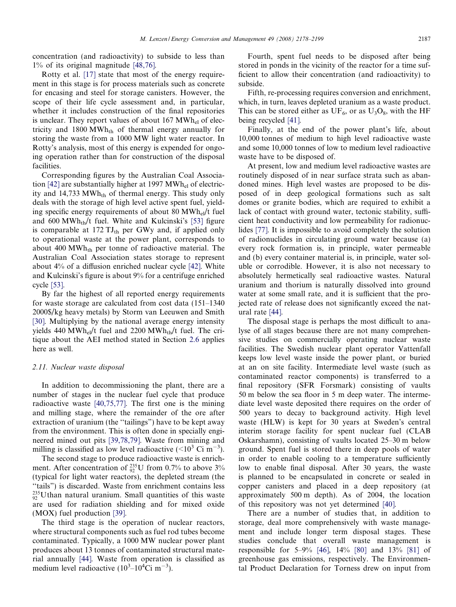concentration (and radioactivity) to subside to less than 1% of its original magnitude [\[48,76\].](#page-19-0)

Rotty et al. [\[17\]](#page-19-0) state that most of the energy requirement in this stage is for process materials such as concrete for encasing and steel for storage canisters. However, the scope of their life cycle assessment and, in particular, whether it includes construction of the final repositories is unclear. They report values of about  $167 \text{ MWh}_{el}$  of electricity and 1800 MWh<sub>th</sub> of thermal energy annually for storing the waste from a 1000 MW light water reactor. In Rotty's analysis, most of this energy is expended for ongoing operation rather than for construction of the disposal facilities.

Corresponding figures by the Australian Coal Associa-tion [\[42\]](#page-19-0) are substantially higher at 1997  $MWh_{el}$  of electricity and 14,733  $MWh_{th}$  of thermal energy. This study only deals with the storage of high level active spent fuel, yielding specific energy requirements of about 80 MWh $_{el}$ /t fuel and  $600 \text{ MWh}_{th}/t$  fuel. White and Kulcinski's [\[53\]](#page-19-0) figure is comparable at 172  $TJ_{th}$  per GWy and, if applied only to operational waste at the power plant, corresponds to about 400 MW $h_{th}$  per tonne of radioactive material. The Australian Coal Association states storage to represent about 4% of a diffusion enriched nuclear cycle [\[42\].](#page-19-0) White and Kulcinski's figure is about 9% for a centrifuge enriched cycle [\[53\]](#page-19-0).

By far the highest of all reported energy requirements for waste storage are calculated from cost data (151–1340 2000\$/kg heavy metals) by Storm van Leeuwen and Smith [\[30\].](#page-19-0) Multiplying by the national average energy intensity yields 440 MWh<sub>el</sub>/t fuel and 2200 MWh<sub>th</sub>/t fuel. The critique about the AEI method stated in Section [2.6](#page-5-0) applies here as well.

#### 2.11. Nuclear waste disposal

In addition to decommissioning the plant, there are a number of stages in the nuclear fuel cycle that produce radioactive waste [\[40,75,77\].](#page-19-0) The first one is the mining and milling stage, where the remainder of the ore after extraction of uranium (the ''tailings") have to be kept away from the environment. This is often done in specially engineered mined out pits [\[39,78,79\].](#page-19-0) Waste from mining and milling is classified as low level radioactive  $(<10^3 \text{ Ci m}^{-3})$ .

The second stage to produce radioactive waste is enrichment. After concentration of  $^{235}_{92}$ U from 0.7% to above 3% (typical for light water reactors), the depleted stream (the "tails") is discarded. Waste from enrichment contains less  $^{235}_{92}$ Uthan natural uranium. Small quantities of this waste are used for radiation shielding and for mixed oxide (MOX) fuel production [\[39\].](#page-19-0)

The third stage is the operation of nuclear reactors, where structural components such as fuel rod tubes become contaminated. Typically, a 1000 MW nuclear power plant produces about 13 tonnes of contaminated structural material annually [\[44\]](#page-19-0). Waste from operation is classified as medium level radioactive  $(10^3 - 10^4 \text{Ci m}^{-3})$ .

Fourth, spent fuel needs to be disposed after being stored in ponds in the vicinity of the reactor for a time sufficient to allow their concentration (and radioactivity) to subside.

Fifth, re-processing requires conversion and enrichment, which, in turn, leaves depleted uranium as a waste product. This can be stored either as  $UF_6$ , or as  $U_3O_8$ , with the HF being recycled [\[41\]](#page-19-0).

Finally, at the end of the power plant's life, about 10,000 tonnes of medium to high level radioactive waste and some 10,000 tonnes of low to medium level radioactive waste have to be disposed of.

At present, low and medium level radioactive wastes are routinely disposed of in near surface strata such as abandoned mines. High level wastes are proposed to be disposed of in deep geological formations such as salt domes or granite bodies, which are required to exhibit a lack of contact with ground water, tectonic stability, sufficient heat conductivity and low permeability for radionuclides [\[77\]](#page-20-0). It is impossible to avoid completely the solution of radionuclides in circulating ground water because (a) every rock formation is, in principle, water permeable and (b) every container material is, in principle, water soluble or corrodible. However, it is also not necessary to absolutely hermetically seal radioactive wastes. Natural uranium and thorium is naturally dissolved into ground water at some small rate, and it is sufficient that the projected rate of release does not significantly exceed the natural rate [\[44\]](#page-19-0).

The disposal stage is perhaps the most difficult to analyse of all stages because there are not many comprehensive studies on commercially operating nuclear waste facilities. The Swedish nuclear plant operator Vattenfall keeps low level waste inside the power plant, or buried at an on site facility. Intermediate level waste (such as contaminated reactor components) is transferred to a final repository (SFR Forsmark) consisting of vaults 50 m below the sea floor in 5 m deep water. The intermediate level waste deposited there requires on the order of 500 years to decay to background activity. High level waste (HLW) is kept for 30 years at Sweden's central interim storage facility for spent nuclear fuel (CLAB Oskarshamn), consisting of vaults located 25–30 m below ground. Spent fuel is stored there in deep pools of water in order to enable cooling to a temperature sufficiently low to enable final disposal. After 30 years, the waste is planned to be encapsulated in concrete or sealed in copper canisters and placed in a deep repository (at approximately 500 m depth). As of 2004, the location of this repository was not yet determined [\[40\]](#page-19-0).

There are a number of studies that, in addition to storage, deal more comprehensively with waste management and include longer term disposal stages. These studies conclude that overall waste management is responsible for 5–9% [\[46\],](#page-19-0) 14% [\[80\]](#page-20-0) and 13% [\[81\]](#page-20-0) of greenhouse gas emissions, respectively. The Environmental Product Declaration for Torness drew on input from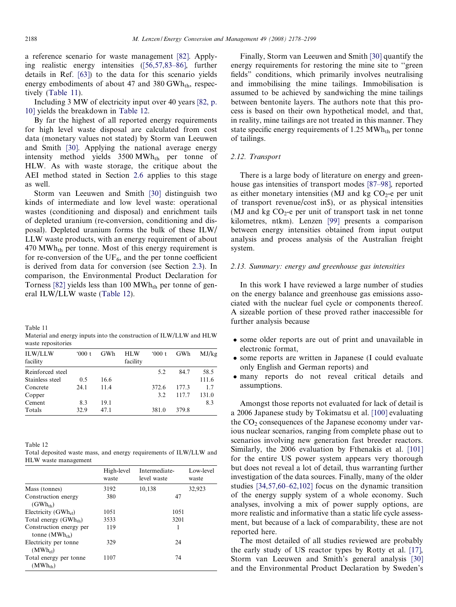a reference scenario for waste management [\[82\].](#page-20-0) Applying realistic energy intensities ([\[56,57,83–86\],](#page-19-0) further details in Ref. [\[63\]\)](#page-20-0) to the data for this scenario yields energy embodiments of about 47 and 380 GWh<sub>th</sub>, respectively (Table 11).

Including 3 MW of electricity input over 40 years [\[82, p.](#page-20-0) [10\]](#page-20-0) yields the breakdown in Table 12.

By far the highest of all reported energy requirements for high level waste disposal are calculated from cost data (monetary values not stated) by Storm van Leeuwen and Smith [\[30\].](#page-19-0) Applying the national average energy intensity method yields  $3500 \text{ MWh}_{th}$  per tonne of HLW. As with waste storage, the critique about the AEI method stated in Section [2.6](#page-5-0) applies to this stage as well.

Storm van Leeuwen and Smith [\[30\]](#page-19-0) distinguish two kinds of intermediate and low level waste: operational wastes (conditioning and disposal) and enrichment tails of depleted uranium (re-conversion, conditioning and disposal). Depleted uranium forms the bulk of these ILW/ LLW waste products, with an energy requirement of about  $470 \text{ MWh}_{th}$  per tonne. Most of this energy requirement is for re-conversion of the  $UF_6$ , and the per tonne coefficient is derived from data for conversion (see Section [2.3\)](#page-3-0). In comparison, the Environmental Product Declaration for Torness [\[82\]](#page-20-0) yields less than 100  $MWh_{th}$  per tonne of general ILW/LLW waste (Table 12).

| Table 11                                                            |
|---------------------------------------------------------------------|
| Material and energy inputs into the construction of ILW/LLW and HLW |
| waste repositories                                                  |

| ILW/LLW<br>facility | 000 t | GWh  | <b>HLW</b><br>facility | 000t  | GWh   | MJ/kg |
|---------------------|-------|------|------------------------|-------|-------|-------|
| Reinforced steel    |       |      |                        | 5.2   | 84.7  | 58.5  |
| Stainless steel     | 0.5   | 16.6 |                        |       |       | 111.6 |
| Concrete            | 24.1  | 11.4 |                        | 372.6 | 177.3 | 1.7   |
| Copper              |       |      |                        | 3.2   | 117.7 | 131.0 |
| Cement              | 8.3   | 19.1 |                        |       |       | 8.3   |
| Totals              | 32.9  | 47.1 |                        | 381.0 | 379.8 |       |

Table 12

Total deposited waste mass, and energy requirements of ILW/LLW and HLW waste management

|                                                | High-level<br>waste | Intermediate-<br>level waste | Low-level<br>waste |
|------------------------------------------------|---------------------|------------------------------|--------------------|
| Mass (tonnes)                                  | 3192                | 10,138                       | 32,923             |
| Construction energy<br>$(GWh_{th})$            | 380                 | 47                           |                    |
| Electricity (GWhel)                            | 1051                | 1051                         |                    |
| Total energy $(GWh_{th})$                      | 3533                | 3201                         |                    |
| Construction energy per<br>tonne $(MWh_{th})$  | 119                 | 1                            |                    |
| Electricity per tonne<br>$(MWh_{el})$          | 329                 | 24                           |                    |
| Total energy per tonne<br>(MWh <sub>th</sub> ) | 1107                | 74                           |                    |

Finally, Storm van Leeuwen and Smith [\[30\]](#page-19-0) quantify the energy requirements for restoring the mine site to ''green fields" conditions, which primarily involves neutralising and immobilising the mine tailings. Immobilisation is assumed to be achieved by sandwiching the mine tailings between bentonite layers. The authors note that this process is based on their own hypothetical model, and that, in reality, mine tailings are not treated in this manner. They state specific energy requirements of  $1.25 \text{ MWh}_{th}$  per tonne of tailings.

# 2.12. Transport

There is a large body of literature on energy and greenhouse gas intensities of transport modes [\[87–98\]](#page-20-0), reported as either monetary intensities (MJ and kg  $CO<sub>2</sub>$ -e per unit of transport revenue/cost in\$), or as physical intensities (MJ and kg  $CO<sub>2</sub>$ -e per unit of transport task in net tonne kilometres, ntkm). Lenzen [\[99\]](#page-20-0) presents a comparison between energy intensities obtained from input output analysis and process analysis of the Australian freight system.

## 2.13. Summary: energy and greenhouse gas intensities

In this work I have reviewed a large number of studies on the energy balance and greenhouse gas emissions associated with the nuclear fuel cycle or components thereof. A sizeable portion of these proved rather inaccessible for further analysis because

- some older reports are out of print and unavailable in electronic format,
- some reports are written in Japanese (I could evaluate only English and German reports) and
- many reports do not reveal critical details and assumptions.

Amongst those reports not evaluated for lack of detail is a 2006 Japanese study by Tokimatsu et al. [\[100\]](#page-20-0) evaluating the  $CO<sub>2</sub>$  consequences of the Japanese economy under various nuclear scenarios, ranging from complete phase out to scenarios involving new generation fast breeder reactors. Similarly, the 2006 evaluation by Fthenakis et al. [\[101\]](#page-20-0) for the entire US power system appears very thorough but does not reveal a lot of detail, thus warranting further investigation of the data sources. Finally, many of the older studies [\[34,57,60–62,102\]](#page-19-0) focus on the dynamic transition of the energy supply system of a whole economy. Such analyses, involving a mix of power supply options, are more realistic and informative than a static life cycle assessment, but because of a lack of comparability, these are not reported here.

The most detailed of all studies reviewed are probably the early study of US reactor types by Rotty et al. [\[17\]](#page-19-0), Storm van Leeuwen and Smith's general analysis [\[30\]](#page-19-0) and the Environmental Product Declaration by Sweden's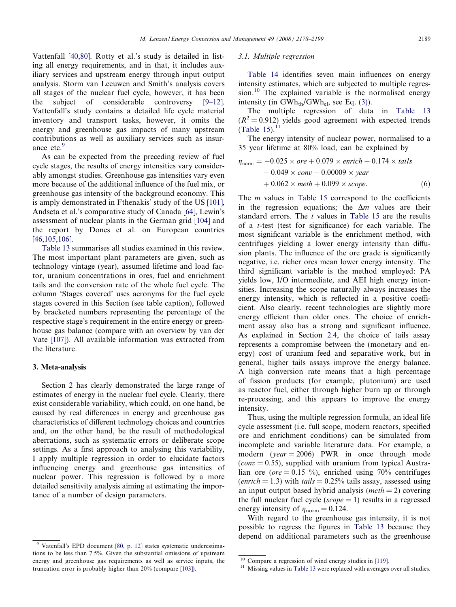<span id="page-11-0"></span>Vattenfall [\[40,80\].](#page-19-0) Rotty et al.'s study is detailed in listing all energy requirements, and in that, it includes auxiliary services and upstream energy through input output analysis. Storm van Leeuwen and Smith's analysis covers all stages of the nuclear fuel cycle, however, it has been the subject of considerable controversy [\[9–12\].](#page-18-0) Vattenfall's study contains a detailed life cycle material inventory and transport tasks, however, it omits the energy and greenhouse gas impacts of many upstream contributions as well as auxiliary services such as insurance etc.<sup>9</sup>

As can be expected from the preceding review of fuel cycle stages, the results of energy intensities vary considerably amongst studies. Greenhouse gas intensities vary even more because of the additional influence of the fuel mix, or greenhouse gas intensity of the background economy. This is amply demonstrated in Fthenakis' study of the US [\[101\],](#page-20-0) Andseta et al.'s comparative study of Canada [\[64\]](#page-20-0), Lewin's assessment of nuclear plants in the German grid [\[104\]](#page-20-0) and the report by Dones et al. on European countries [\[46,105,106\]](#page-19-0).

[Table 13](#page-12-0) summarises all studies examined in this review. The most important plant parameters are given, such as technology vintage (year), assumed lifetime and load factor, uranium concentrations in ores, fuel and enrichment tails and the conversion rate of the whole fuel cycle. The column 'Stages covered' uses acronyms for the fuel cycle stages covered in this Section (see table caption), followed by bracketed numbers representing the percentage of the respective stage's requirement in the entire energy or greenhouse gas balance (compare with an overview by van der Vate [\[107\]\)](#page-21-0). All available information was extracted from the literature.

#### 3. Meta-analysis

Section [2](#page-1-0) has clearly demonstrated the large range of estimates of energy in the nuclear fuel cycle. Clearly, there exist considerable variability, which could, on one hand, be caused by real differences in energy and greenhouse gas characteristics of different technology choices and countries and, on the other hand, be the result of methodological aberrations, such as systematic errors or deliberate scope settings. As a first approach to analysing this variability, I apply multiple regression in order to elucidate factors influencing energy and greenhouse gas intensities of nuclear power. This regression is followed by a more detailed sensitivity analysis aiming at estimating the importance of a number of design parameters.

# 3.1. Multiple regression

[Table 14](#page-16-0) identifies seven main influences on energy intensity estimates, which are subjected to multiple regression.<sup>10</sup> The explained variable is the normalised energy intensity (in  $GWh_{th}/GWh_{el}$ , see Eq. [\(3\)\)](#page-1-0).

The multiple regression of data in [Table 13](#page-12-0)  $(R^2 = 0.912)$  yields good agreement with expected trends ([Table 15](#page-16-0)). $^{11}$ 

The energy intensity of nuclear power, normalised to a 35 year lifetime at 80% load, can be explained by

$$
\eta_{\text{norm}} = -0.025 \times ore + 0.079 \times enrich + 0.174 \times tails \n- 0.049 \times conv - 0.00009 \times year \n+ 0.062 \times meth + 0.099 \times scope.
$$
\n(6)

The *m* values in [Table 15](#page-16-0) correspond to the coefficients in the regression equations; the  $\Delta m$  values are their standard errors. The t values in [Table 15](#page-16-0) are the results of a t-test (test for significance) for each variable. The most significant variable is the enrichment method, with centrifuges yielding a lower energy intensity than diffusion plants. The influence of the ore grade is significantly negative, i.e. richer ores mean lower energy intensity. The third significant variable is the method employed: PA yields low, I/O intermediate, and AEI high energy intensities. Increasing the scope naturally always increases the energy intensity, which is reflected in a positive coefficient. Also clearly, recent technologies are slightly more energy efficient than older ones. The choice of enrichment assay also has a strong and significant influence. As explained in Section [2.4](#page-4-0), the choice of tails assay represents a compromise between the (monetary and energy) cost of uranium feed and separative work, but in general, higher tails assays improve the energy balance. A high conversion rate means that a high percentage of fission products (for example, plutonium) are used as reactor fuel, either through higher burn up or through re-processing, and this appears to improve the energy intensity.

Thus, using the multiple regression formula, an ideal life cycle assessment (i.e. full scope, modern reactors, specified ore and enrichment conditions) can be simulated from incomplete and variable literature data. For example, a modern ( $year = 2006$ ) PWR in once through mode  $\text{(conv} = 0.55)$ , supplied with uranium from typical Australian ore (*ore* = 0.15 %), enriched using 70% centrifuges (enrich = 1.3) with tails =  $0.25\%$  tails assay, assessed using an input output based hybrid analysis (*meth* = 2) covering the full nuclear fuel cycle ( $scope = 1$ ) results in a regressed energy intensity of  $\eta_{norm} = 0.124$ .

With regard to the greenhouse gas intensity, it is not possible to regress the figures in [Table 13](#page-12-0) because they depend on additional parameters such as the greenhouse

Vatenfall's EPD document [\[80, p. 12\]](#page-20-0) states systematic underestimations to be less than 7.5%. Given the substantial omissions of upstream energy and greenhouse gas requirements as well as service inputs, the truncation error is probably higher than 20% (compare [\[103\]\)](#page-20-0).

<sup>&</sup>lt;sup>10</sup> Compare a regression of wind energy studies in [\[119\]](#page-21-0).<br><sup>11</sup> Missing values in [Table 13](#page-12-0) were replaced with averages over all studies.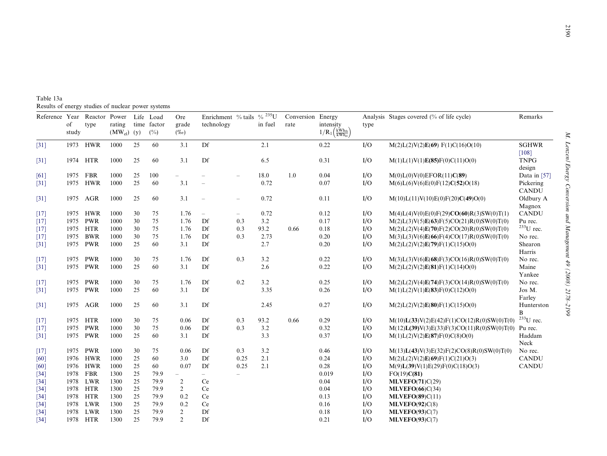<span id="page-12-0"></span>Table 13a Results of energy studies of nuclear power systems

| $1/R_1\left(\frac{kW_{h_{th}}}{kW_{h_{el}}}\right)$<br>$(MW_{el})$ (y)<br>study<br>(%)<br>$(\%o)$                                                |                                                              |
|--------------------------------------------------------------------------------------------------------------------------------------------------|--------------------------------------------------------------|
| 1973 HWR<br>1000<br>25<br>60<br>3.1<br>Df<br>0.22<br>I/O<br>2.1<br>$\lceil 31 \rceil$                                                            | M(2)L(2)V(2)E(69) F(1)C(16)O(10)<br><b>SGHWR</b>             |
| 1000<br>25<br>60<br>Df<br>6.5<br>1974 HTR<br>3.1<br>0.31<br>I/O                                                                                  | [108]<br>M(1)L(1)V(1)E(85)F(0)C(11)O(0)<br><b>TNPG</b>       |
| $[31]$                                                                                                                                           | design                                                       |
| 1975 FBR<br>1000<br>25<br>100<br>18.0<br>1.0<br>0.04<br>I/O<br>M(0)L(0)V(0)EFOR(11)C(89)<br>[61]<br>$\overline{\phantom{a}}$                     | Data in $[57]$                                               |
| 1975 HWR<br>25<br>3.1<br>0.72<br>1000<br>60<br>0.07<br>I/O<br>$\lceil 31 \rceil$                                                                 | Pickering<br>M(6)L(6)V(6)E(0)F(12)C(52)O(18)<br><b>CANDU</b> |
| 1000<br>3.1<br>0.72<br>1975 AGR<br>25<br>60<br>0.11<br>I/O<br>$[31]$<br>$\overline{\phantom{a}}$<br>$\overline{\phantom{m}}$                     | Oldbury A<br>M(10)L(11)V(10)E(0)F(20)C(49)O(0)               |
|                                                                                                                                                  | Magnox                                                       |
| 1975 HWR<br>1000<br>30<br>1.76<br>0.72<br>0.12<br>I/O<br>75<br>$[17]$<br>$\overline{\phantom{0}}$<br>$\overline{\phantom{0}}$                    | <b>CANDU</b><br>$M(4)L(4)V(0)E(0)F(29)CO(60)R(3)SW(0)T(1)$   |
| 75<br>0.17<br>1975 PWR<br>1000<br>30<br>1.76<br>Df<br>0.3<br>3.2<br>I/O<br>$[17]$                                                                | $M(2)L(3)V(5)E(63)F(5)CO(21)R(0)SW(0)T(0)$<br>Pu rec.        |
| <b>HTR</b><br>30<br>75<br>Df<br>I/O<br>1975<br>1000<br>1.76<br>0.3<br>93.2<br>0.66<br>0.18<br>$[17]$                                             | $233$ U rec.<br>$M(2)L(2)V(4)E(70)F(2)CO(20)R(0)SW(0)T(0)$   |
| <b>BWR</b><br>30<br>75<br>0.20<br>I/O<br>1975<br>1000<br>1.76<br>Df<br>0.3<br>2.73<br>$[17]$                                                     | $M(3)L(3)V(6)E(66)F(4)CO(17)R(0)SW(0)T(0)$<br>No rec.        |
| PWR<br>1000<br>Df<br>I/O<br>1975<br>25<br>60<br>3.1<br>2.7<br>0.20<br>$\lceil 31 \rceil$                                                         | Shearon<br>M(2)L(2)V(2)E(79)F(1)C(15)O(0)<br>Harris          |
| 30<br>3.2<br>1975 PWR<br>1000<br>75<br>1.76<br>Df<br>0.3<br>0.22<br>I/O<br>$[17]$                                                                | $M(3)L(3)V(6)E(68)F(3)CO(16)R(0)SW(0)T(0)$<br>No rec.        |
| 1975 PWR<br>1000<br>25<br>60<br>Df<br>2.6<br>0.22<br>3.1<br>I/O<br>$[31]$                                                                        | Maine<br>M(2)L(2)V(2)E(81)F(1)C(14)O(0)                      |
|                                                                                                                                                  | Yankee                                                       |
| <b>PWR</b><br>1000<br>30<br>75<br>Df<br>0.2<br>3.2<br>0.25<br>I/O<br>1975<br>1.76<br>$[17]$                                                      | $M(2)L(2)V(4)E(74)F(3)CO(14)R(0)SW(0)T(0)$<br>No rec.        |
| 1975 PWR<br>1000<br>25<br>60<br>3.1<br>Df<br>3.35<br>I/O<br>0.26<br>$\lceil 31 \rceil$                                                           | Jos M.<br>M(1)L(2)V(1)E(83)F(0)C(12)O(0)                     |
|                                                                                                                                                  | Farley                                                       |
| 1975 AGR<br>1000<br>25<br>60<br>3.1<br>Df<br>2.45<br>0.27<br>I/O<br>$[31]$                                                                       | M(2)L(2)V(2)E(80)F(1)C(15)O(0)<br>Hunterston<br>B            |
| I/O<br>1975 HTR<br>1000<br>30<br>75<br>0.06<br>Df<br>0.3<br>93.2<br>0.66<br>0.29<br>$\lceil 17 \rceil$                                           | $233$ U rec.<br>$M(10)L(33)V(2)E(42)F(1)CO(12)R(0)SW(0)T(0)$ |
| <b>PWR</b><br>30<br>1975<br>1000<br>75<br>0.06<br>Df<br>0.3<br>3.2<br>0.32<br>I/O<br>$\lceil 17 \rceil$                                          | $M(12)L(39)V(3)E(33)F(3)CO(11)R(0)SW(0)T(0)$<br>Pu rec.      |
| 1975<br><b>PWR</b><br>1000<br>25<br>60<br>Df<br>0.37<br>I/O<br>3.1<br>3.3<br>M(1)L(2)V(2)E(87)F(0)C(8)O(0)<br>$[31]$                             | Haddam                                                       |
|                                                                                                                                                  | Neck                                                         |
| 1975 PWR<br>1000<br>30<br>Df<br>3.2<br>0.46<br>I/O<br>75<br>0.06<br>0.3<br>$[17]$                                                                | $M(13)L(43)V(3)E(32)F(2)CO(8)R(0)SW(0)T(0)$<br>No rec.       |
| 1976 HWR<br>60<br>Df<br>2.1<br>0.24<br>I/O<br>1000<br>25<br>3.0<br>0.25<br>[60]                                                                  | M(2)L(2)V(2)E(69)F(1)C(21)O(3)<br><b>CANDU</b>               |
| 25<br>60<br>1976 HWR<br>0.07<br>Df<br>2.1<br>0.28<br>I/O<br>1000<br>0.25<br>[60]                                                                 | <b>CANDU</b><br>M(9)L(39)V(1)E(29)F(0)C(18)O(3)              |
| 25<br>1978<br><b>FBR</b><br>1300<br>79.9<br>0.019<br>I/O<br>FO(19)C(81)<br>$[34]$<br>$-$<br>$\overline{\phantom{0}}$<br>$\overline{\phantom{0}}$ |                                                              |
| LWR<br>1300<br>25<br>79.9<br>0.04<br>I/O<br>MLVEFO(71)C(29)<br>$[34]$<br>1978<br>$\overline{2}$<br>Ce                                            |                                                              |
| 25<br>I/O<br>1978<br><b>HTR</b><br>1300<br>79.9<br>$\overline{2}$<br>Ce<br>0.04<br>MLVEFO(66)C(34)<br>$[34]$                                     |                                                              |
| 25<br>I/O<br>HTR<br>1300<br>79.9<br>0.2<br>Ce<br>0.13<br>$[34]$<br>1978<br>MLVEFO(89)C(11)                                                       |                                                              |
| LWR<br>25<br>0.2<br>Ce<br>0.16<br>I/O<br>$[34]$<br>1978<br>1300<br>79.9<br>MLVEFO(92)C(8)                                                        |                                                              |
| 25<br>LWR<br>1300<br>79.9<br>$\overline{2}$<br>Df<br>0.18<br>I/O<br>$[34]$<br>1978<br>MLVEFO(93)C(7)                                             |                                                              |
| 1978 HTR<br>25<br>$\overline{2}$<br>I/O<br>1300<br>79.9<br>Df<br>0.21<br>MLVEFO(93)C(7)<br>$[34]$                                                |                                                              |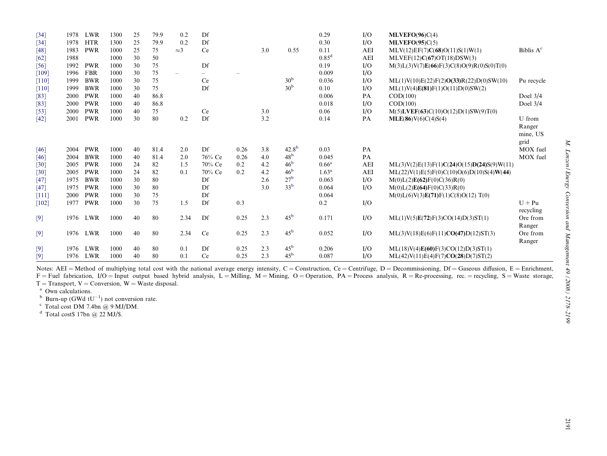| $[34]$  | 1978 | LWR        | 1300 | 25 | 79.9 | 0.2                      | Df                       |      |     |                 | 0.29              | I/O        | MLVEFO(96)C(4)                                 |                            |
|---------|------|------------|------|----|------|--------------------------|--------------------------|------|-----|-----------------|-------------------|------------|------------------------------------------------|----------------------------|
| [34]    | 1978 | <b>HTR</b> | 1300 | 25 | 79.9 | 0.2                      | Df                       |      |     |                 | 0.30              | I/O        | MLVEFO(95)C(5)                                 |                            |
| [48]    | 1983 | <b>PWR</b> | 1000 | 25 | 75   | $\approx$ 3              | Ce                       |      | 3.0 | 0.55            | 0.11              | <b>AEI</b> | MLV(12)EF(7)C(68)O(11)S(1)W(1)                 | Biblis $A^c$               |
| [62]    | 1988 |            | 1000 | 30 | 50   |                          |                          |      |     |                 | 0.85 <sup>d</sup> | <b>AEI</b> | MLVEF(12)C(67)OT(18)DSW(3)                     |                            |
| [56]    | 1992 | <b>PWR</b> | 1000 | 30 | 75   |                          | Df                       |      |     |                 | 0.19              | I/O        | $M(3)L(3)V(7)E(66)F(3)C(8)O(9)R(0)S(0)T(0)$    |                            |
| [109]   | 1996 | <b>FBR</b> | 1000 | 30 | 75   | $\overline{\phantom{0}}$ | $\overline{\phantom{0}}$ |      |     |                 | 0.009             | I/O        |                                                |                            |
| [110]   | 1999 | <b>BWR</b> | 1000 | 30 | 75   |                          | Ce                       |      |     | 30 <sup>b</sup> | 0.036             | I/O        | $ML(1)V(10)E(22)F(2)O(33)R(22)D(0)SW(10)$      | Pu recycle                 |
| [110]   | 1999 | <b>BWR</b> | 1000 | 30 | 75   |                          | Df                       |      |     | 30 <sup>b</sup> | 0.10              | I/O        | ML(1)V(4)E(81)F(1)O(11)D(0)SW(2)               |                            |
| [83]    | 2000 | <b>PWR</b> | 1000 | 40 | 86.8 |                          |                          |      |     |                 | 0.006             | PA         | COD(100)                                       | Doel 3/4                   |
| [83]    | 2000 | <b>PWR</b> | 1000 | 40 | 86.8 |                          |                          |      |     |                 | 0.018             | I/O        | COD(100)                                       | Doel 3/4                   |
| [53]    | 2000 | <b>PWR</b> | 1000 | 40 | 75   |                          | Ce                       |      | 3.0 |                 | 0.06              | I/O        | $M(5)$ <b>LVEF</b> (63)C(10)O(12)D(1)SW(9)T(0) |                            |
| [42]    | 2001 | <b>PWR</b> | 1000 | 30 | 80   | 0.2                      | Df                       |      | 3.2 |                 | 0.14              | PA         | MLE(86)V(6)C(4)S(4)                            | U from                     |
|         |      |            |      |    |      |                          |                          |      |     |                 |                   |            |                                                | Ranger<br>mine, US<br>grid |
| [46]    | 2004 | <b>PWR</b> | 1000 | 40 | 81.4 | 2.0                      | Df                       | 0.26 | 3.8 | $42.8^{b}$      | 0.03              | PA         |                                                | MOX fuel                   |
| [46]    | 2004 | <b>BWR</b> | 1000 | 40 | 81.4 | 2.0                      | 76% Ce                   | 0.26 | 4.0 | 48 <sup>b</sup> | 0.045             | PA         |                                                | MOX fuel                   |
| $[30]$  | 2005 | <b>PWR</b> | 1000 | 24 | 82   | 1.5                      | 70% Ce                   | 0.2  | 4.2 | 46 <sup>b</sup> | $0.66^{\rm a}$    | <b>AEI</b> | $ML(3)V(2)E(13)F(1)C(24)O(15)D(24)S(9)W(11)$   |                            |
| [30]    | 2005 | <b>PWR</b> | 1000 | 24 | 82   | 0.1                      | 70% Ce                   | 0.2  | 4.2 | 46 <sup>b</sup> | 1.63 <sup>a</sup> | <b>AEI</b> | $ML(22)V(1)E(5)F(0)C(10)O(6)D(10)S(4)W(44)$    |                            |
| [47]    | 1975 | <b>BWR</b> | 1000 | 30 | 80   |                          | Df                       |      | 2.6 | 27 <sup>b</sup> | 0.063             | I/O        | M(0)L(2)E(62)F(0)C(36)R(0)                     |                            |
| [47]    | 1975 | <b>PWR</b> | 1000 | 30 | 80   |                          | Df                       |      | 3.0 | 33 <sup>b</sup> | 0.064             | I/O        | M(0)L(2)E(64)F(0)C(33)R(0)                     |                            |
| $[111]$ | 2000 | <b>PWR</b> | 1000 | 30 | 75   |                          | Df                       |      |     |                 | 0.064             |            | M(0)L(6)V(3)E(71)F(1)C(8)O(12)T(0)             |                            |
| [102]   | 1977 | <b>PWR</b> | 1000 | 30 | 75   | 1.5                      | Df                       | 0.3  |     |                 | 0.2               | I/O        |                                                | $U + Pu$                   |
|         |      |            |      |    |      |                          |                          |      |     |                 |                   |            |                                                | recycling                  |
| [9]     | 1976 | LWR        | 1000 | 40 | 80   | 2.34                     | Df                       | 0.25 | 2.3 | $45^{\rm b}$    | 0.171             | I/O        | ML(1)V(5)E(72)F(3)CO(14)D(3)ST(1)              | Ore from<br>Ranger         |
| $[9]$   | 1976 | LWR        | 1000 | 40 | 80   | 2.34                     | Ce                       | 0.25 | 2.3 | 45 <sup>b</sup> | 0.052             | I/O        | ML(3)V(18)E(6)F(11)CO(47)D(12)ST(3)            | Ore from<br>Ranger         |
| $[9]$   | 1976 | <b>LWR</b> | 1000 | 40 | 80   | 0.1                      | Df                       | 0.25 | 2.3 | 45 <sup>b</sup> | 0.206             | I/O        | ML(18)V(4)E(60)F(3)CO(12)D(3)ST(1)             |                            |
| [9]     | 1976 | LWR        | 1000 | 40 | 80   | 0.1                      | Ce                       | 0.25 | 2.3 | 45 <sup>b</sup> | 0.087             | I/O        | ML(42)V(11)E(4)F(7)CO(28)D(7)ST(2)             |                            |

Notes: AEI = Method of multiplying total cost with the national average energy intensity, C = Construction, Ce = Centrifuge, D = Decommissioning, Df = Gaseous diffusion, E = Enrichment,  $F =$  Fuel fabrication,  $I/O =$  Input output based hybrid analysis,  $L =$  Milling,  $M =$  Mining,  $O =$  Operation,  $PA =$  Process analysis,  $R =$  Re-processing, rec. = recycling,  $S =$  Waste storage,  $T =$ Transport,  $V =$ Conversion,  $W =$ Waste disposal.

<sup>a</sup> Own calculations.<br><sup>b</sup> Burn-up (GWd tU<sup>-1</sup>) not conversion rate.<br><sup>c</sup> Total cost DM 7.4bn @ 9 MJ/DM.<br><sup>d</sup> Total cost\$ 17bn @ 22 MJ/\$.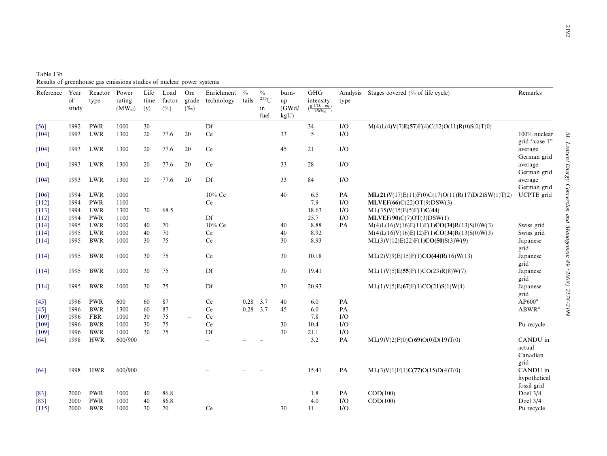| Table 13b                                                            |
|----------------------------------------------------------------------|
| Results of greenhouse gas emissions studies of nuclear power systems |

| Reference               | Year<br>of<br>study  | Reactor<br>type          | Power<br>rating<br>$(MW_{el})$ | Life<br>time<br>(y) | Load<br>factor<br>$(^{0}/_{0})$ | Ore<br>grade<br>$(\%o)$  | Enrichment<br>technology | $\frac{0}{0}$<br>tails | $\frac{0}{0}$<br>$235$ U<br>in<br>fuel | burn-<br>up<br>(GWd)<br>kgU | <b>GHG</b><br>intensity<br>$\left(\frac{\text{g CO}_2-\text{eq.}}{\text{kWh}_{\text{el}}}\right)$ | Analysis<br>type | Stages covered (% of life cycle)                                                                            | Remarks                                 |
|-------------------------|----------------------|--------------------------|--------------------------------|---------------------|---------------------------------|--------------------------|--------------------------|------------------------|----------------------------------------|-----------------------------|---------------------------------------------------------------------------------------------------|------------------|-------------------------------------------------------------------------------------------------------------|-----------------------------------------|
| [56]<br>[104]           | 1992<br>1993         | <b>PWR</b><br><b>LWR</b> | 1000<br>1300                   | 30<br>20            | 77.6                            | 20                       | Df<br>Ce                 |                        |                                        | 33                          | 34<br>5                                                                                           | I/O<br>I/O       | $M(4)L(4)V(7)E(57)F(4)C(12)O(11)R(0)S(0)T(0)$                                                               | 100% nuclear                            |
| [104]                   | 1993                 | LWR                      | 1300                           | 20                  | 77.6                            | 20                       | Ce                       |                        |                                        | 45                          | 21                                                                                                | I/O              |                                                                                                             | grid "case 1"<br>average<br>German grid |
| $[104]$                 | 1993                 | LWR                      | 1300                           | 20                  | 77.6                            | 20                       | Ce                       |                        |                                        | 33                          | 28                                                                                                | I/O              |                                                                                                             | average<br>German grid                  |
| [104]                   | 1993                 | LWR                      | 1300                           | 20                  | 77.6                            | 20                       | Df                       |                        |                                        | 33                          | 84                                                                                                | I/O              |                                                                                                             | average<br>German grid                  |
| [106]<br>[112]<br>[113] | 1994<br>1994<br>1994 | LWR<br><b>PWR</b><br>LWR | 1000<br>1100<br>1300           | 30                  | 68.5                            |                          | 10% Ce<br>Ce             |                        |                                        | 40                          | 6.5<br>7.9<br>18.63                                                                               | PA<br>I/O<br>I/O | $ML(21)V(17)E(11)F(0)C(17)O(11)R(17)D(2)SW(1)T(2)$<br>MLVEF(66)C(22)OT(9)DSW(3)<br>ML(35)V(15)E(5)F(1)C(44) | <b>UCPTE</b> grid                       |
| [112]<br>[114]          | 1994<br>1995         | <b>PWR</b><br><b>LWR</b> | 1100<br>1000                   | 40                  | 70                              |                          | Df<br>10% Ce             |                        |                                        | 40                          | 25.7<br>8.88                                                                                      | I/O<br><b>PA</b> | MLVEF(90)C(7)OT(3)DSW(1)<br>$M(4)L(16)V(16)E(11)F(1)CO(34)R(13)S(0)W(3)$                                    | Swiss grid                              |
| [114]<br>[114]          | 1995<br>1995         | LWR<br><b>BWR</b>        | 1000<br>1000                   | 40<br>30            | 70<br>75                        |                          | Ce<br>Ce                 |                        |                                        | 40<br>30                    | 8.92<br>8.93                                                                                      |                  | $M(4)L(16)V(16)E(12)F(1)CO(34)R(13)S(0)W(3)$<br>ML(3)V(12)E(22)F(1)CO(50)S(3)W(9)                           | Swiss grid<br>Japanese                  |
| [114]                   | 1995                 | <b>BWR</b>               | 1000                           | 30                  | 75                              |                          | Ce                       |                        |                                        | 30                          | 10.18                                                                                             |                  | ML(2)V(9)E(15)F(1)CO(44)R(16)W(13)                                                                          | grid<br>Japanese<br>grid                |
| [114]                   | 1995                 | <b>BWR</b>               | 1000                           | 30                  | 75                              |                          | Df                       |                        |                                        | 30                          | 19.41                                                                                             |                  | ML(1)V(5)E(55)F(1)CO(23)R(8)W(7)                                                                            | Japanese<br>grid                        |
| [114]                   | 1995                 | <b>BWR</b>               | 1000                           | 30                  | 75                              |                          | Df                       |                        |                                        | 30                          | 20.93                                                                                             |                  | ML(1)V(5)E(67)F(1)CO(21)S(1)W(4)                                                                            | Japanese<br>grid                        |
| [45]                    | 1996                 | <b>PWR</b>               | 600                            | 60                  | 87                              |                          | Ce                       | 0.28                   | 3.7                                    | 40                          | 6.0                                                                                               | PA               |                                                                                                             | AP600 <sup>a</sup>                      |
| $[45]$<br>[109]         | 1996<br>1996         | <b>BWR</b><br><b>FBR</b> | 1300<br>1000                   | 60<br>30            | 87<br>75                        | $\overline{\phantom{a}}$ | Ce<br>Ce                 | 0.28                   | 3.7                                    | 45                          | 6.0<br>7.8                                                                                        | PA<br>I/O        |                                                                                                             | ABWR <sup>a</sup>                       |
| [109]                   | 1996                 | <b>BWR</b>               | 1000                           | 30                  | 75                              |                          | Ce                       |                        |                                        | 30                          | 10.4                                                                                              | I/O              |                                                                                                             | Pu recycle                              |
| [109]                   | 1996                 | <b>BWR</b>               | 1000                           | 30                  | 75                              |                          | Df                       |                        |                                        | 30                          | 21.1                                                                                              | I/O              |                                                                                                             |                                         |
| [64]                    | 1998                 | <b>HWR</b>               | 600/900                        |                     |                                 |                          |                          |                        |                                        |                             | 3.2                                                                                               | PA               | ML(9)V(2)F(0)C(69)O(0)D(19)T(0)                                                                             | CANDU in<br>actual<br>Canadian<br>grid  |
| [64]                    | 1998                 | <b>HWR</b>               | 600/900                        |                     |                                 |                          |                          |                        |                                        |                             | 15.41                                                                                             | PA               | ML(3)V(1)F(1)C(77)O(15)D(4)T(0)                                                                             | CANDU in<br>hypothetical<br>fossil grid |
| $[83]$                  | 2000                 | <b>PWR</b>               | 1000                           | 40                  | 86.8                            |                          |                          |                        |                                        |                             | 1.8                                                                                               | PA               | COD(100)                                                                                                    | Doel $3/4$                              |
| $[83]$                  | 2000                 | <b>PWR</b>               | 1000                           | 40                  | 86.8                            |                          |                          |                        |                                        |                             | 4.0                                                                                               | I/O              | COD(100)                                                                                                    | Doel 3/4                                |
| [115]                   | 2000                 | <b>BWR</b>               | 1000                           | 30                  | 70                              |                          | Ce                       |                        |                                        | 30                          | 11                                                                                                | I/O              |                                                                                                             | Pu recycle                              |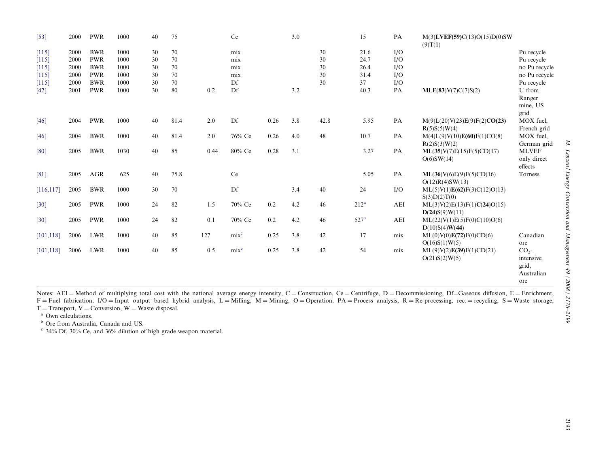<span id="page-15-0"></span>

| $[53]$     | 2000 | <b>PWR</b> | 1000 | 40 | 75   |      | Ce               |      | 3.0 |      | 15               | PA  | $M(3)$ LVEF(59)C(13)O(15)D(0)SW<br>(9)T(1)     |                                                            |
|------------|------|------------|------|----|------|------|------------------|------|-----|------|------------------|-----|------------------------------------------------|------------------------------------------------------------|
| [115]      | 2000 | <b>BWR</b> | 1000 | 30 | 70   |      | mix              |      |     | 30   | 21.6             | I/O |                                                | Pu recycle                                                 |
| $[115]$    | 2000 | <b>PWR</b> | 1000 | 30 | 70   |      | mix              |      |     | 30   | 24.7             | I/O |                                                | Pu recycle                                                 |
| [115]      | 2000 | <b>BWR</b> | 1000 | 30 | 70   |      | mix              |      |     | 30   | 26.4             | I/O |                                                | no Pu recycle                                              |
| [115]      | 2000 | <b>PWR</b> | 1000 | 30 | 70   |      | mix              |      |     | 30   | 31.4             | I/O |                                                | no Pu recycle                                              |
| $[115]$    | 2000 | <b>BWR</b> | 1000 | 30 | 70   |      | Df               |      |     | 30   | 37               | I/O |                                                | Pu recycle                                                 |
| [42]       | 2001 | <b>PWR</b> | 1000 | 30 | 80   | 0.2  | Df               |      | 3.2 |      | 40.3             | PA  | MLE(83)V(7)C(7)S(2)                            | U from<br>Ranger<br>mine, US<br>grid                       |
| [46]       | 2004 | <b>PWR</b> | 1000 | 40 | 81.4 | 2.0  | Df               | 0.26 | 3.8 | 42.8 | 5.95             | PA  | M(9)L(20)V(23)E(9)F(2)CO(23)<br>R(5)S(5)W(4)   | MOX fuel,<br>French grid                                   |
| [46]       | 2004 | <b>BWR</b> | 1000 | 40 | 81.4 | 2.0  | 76% Ce           | 0.26 | 4.0 | 48   | 10.7             | PA  | M(4)L(9)V(10)E(60)F(1)CO(8)<br>R(2)S(3)W(2)    | MOX fuel,<br>German grid                                   |
| $[80]$     | 2005 | <b>BWR</b> | 1030 | 40 | 85   | 0.44 | 80% Ce           | 0.28 | 3.1 |      | 3.27             | PA  | ML(35)V(7)E(15)F(5)CD(17)<br>O(6)SW(14)        | <b>MLVEF</b><br>only direct<br>effects                     |
| $[81]$     | 2005 | <b>AGR</b> | 625  | 40 | 75.8 |      | Ce               |      |     |      | 5.05             | PA  | ML(36)V(6)E(9)F(5)CD(16)<br>O(12)R(4)SW(13)    | Torness                                                    |
| [116, 117] | 2005 | <b>BWR</b> | 1000 | 30 | 70   |      | Df               |      | 3.4 | 40   | 24               | I/O | ML(5)V(1)E(62)F(3)C(12)O(13)<br>S(3)D(2)T(0)   |                                                            |
| [30]       | 2005 | <b>PWR</b> | 1000 | 24 | 82   | 1.5  | 70% Ce           | 0.2  | 4.2 | 46   | $212^a$          | AEI | ML(3)V(2)E(13)F(1)C(24)O(15)<br>D(24)S(9)W(11) |                                                            |
| $[30]$     | 2005 | <b>PWR</b> | 1000 | 24 | 82   | 0.1  | 70% Ce           | 0.2  | 4.2 | 46   | 527 <sup>a</sup> | AEI | ML(22)V(1)E(5)F(0)C(10)O(6)<br>D(10)S(4)W(44)  |                                                            |
| [101, 118] | 2006 | <b>LWR</b> | 1000 | 40 | 85   | 127  | mix <sup>c</sup> | 0.25 | 3.8 | 42   | 17               | mix | ML(0)V(0)E(72)F(0)CD(6)<br>O(16)S(1)W(5)       | Canadian<br>ore                                            |
| [101, 118] | 2006 | <b>LWR</b> | 1000 | 40 | 85   | 0.5  | mix <sup>c</sup> | 0.25 | 3.8 | 42   | 54               | mix | ML(9)V(2)E(39)F(1)CD(21)<br>O(21)S(2)W(5)      | CO <sub>2</sub><br>intensive<br>grid,<br>Australian<br>ore |

Notes: AEI = Method of multiplying total cost with the national average energy intensity, C = Construction, Ce = Centrifuge, D = Decommissioning, Df=Gaseous diffusion, E = Enrichment,  $F =$  Fuel fabrication,  $I/O =$  Input output based hybrid analysis,  $L =$  Milling,  $M =$  Mining,  $O =$  Operation,  $PA =$  Process analysis,  $R =$  Re-processing, rec. = recycling,  $S =$  Waste storage,  $T =$ Transport,  $V =$ Conversion,  $W =$ Waste disposal.

<sup>a</sup> Own calculations.

<sup>b</sup> Ore from Australia, Canada and US.<br><sup>c</sup> 34% Df, 30% Ce, and 36% dilution of high grade weapon material.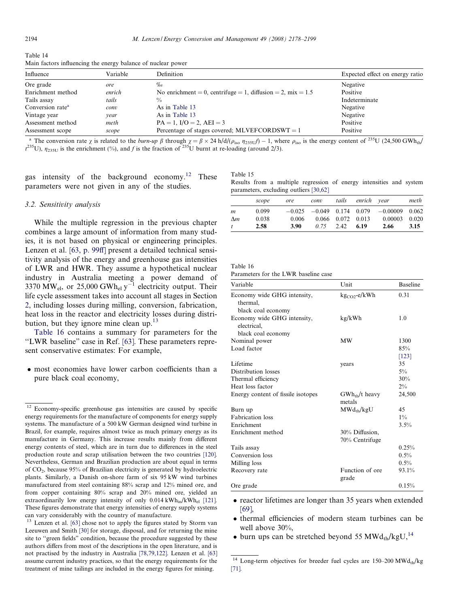| Influence                    | Variable | Definition                                                    | Expected effect on energy ratio |
|------------------------------|----------|---------------------------------------------------------------|---------------------------------|
| Ore grade                    | ore      | $\%$                                                          | Negative                        |
| Enrichment method            | enrich   | No enrichment = 0, centrifuge = 1, diffusion = 2, mix = $1.5$ | Positive                        |
| Tails assay                  | tails    | $\frac{0}{0}$                                                 | Indeterminate                   |
| Conversion rate <sup>a</sup> | conv     | As in Table 13                                                | Negative                        |
| Vintage year                 | vear     | As in Table 13                                                | Negative                        |
| Assessment method            | meth     | $PA = 1$ , $I/O = 2$ , $AEI = 3$                              | Positive                        |
| Assessment scope             | scope    | Percentage of stages covered; MLVEFCORDSWT = $1$              | Positive                        |

<span id="page-16-0"></span>Table 14 Main factors influencing the energy balance of nuclear power

<sup>a</sup> The conversion rate  $\chi$  is related to the *burn-up*  $\beta$  through  $\chi = \beta \times 24$  h/d/( $\rho_{iso}$   $\eta_{235U}/$ ) – 1, where  $\rho_{iso}$  is the energy content of <sup>235</sup>U (24,500 GWh<sub>th</sub>)  $t^{235}$ U),  $\eta_{235U}$  is the enrichment (%), and f is the fraction of  $^{235}$ U burnt at re-loading (around 2/3).

gas intensity of the background economy.<sup>12</sup> These parameters were not given in any of the studies.

## 3.2. Sensitivity analysis

While the multiple regression in the previous chapter combines a large amount of information from many studies, it is not based on physical or engineering principles. Lenzen et al. [\[63, p. 99ff\]](#page-20-0) present a detailed technical sensitivity analysis of the energy and greenhouse gas intensities of LWR and HWR. They assume a hypothetical nuclear industry in Australia meeting a power demand of 3370  $\text{MW}_{el}$ , or 25,000 GWh<sub>el</sub>  $y^{-1}$  electricity output. Their life cycle assessment takes into account all stages in Section [2,](#page-1-0) including losses during milling, conversion, fabrication, heat loss in the reactor and electricity losses during distribution, but they ignore mine clean up.<sup>13</sup>

Table 16 contains a summary for parameters for the "LWR baseline" case in Ref. [\[63\]](#page-20-0). These parameters represent conservative estimates: For example,

 most economies have lower carbon coefficients than a pure black coal economy,

Table 15

|  |  | Results from a multiple regression of energy intensities and system |  |  |  |
|--|--|---------------------------------------------------------------------|--|--|--|
|  |  | parameters, excluding outliers [30,62]                              |  |  |  |

|            | scope | ore   | conv | tails                   | enrich vear |                                                | meth  |
|------------|-------|-------|------|-------------------------|-------------|------------------------------------------------|-------|
| m          | 0.099 |       |      |                         |             | $-0.025$ $-0.049$ 0.174 0.079 $-0.00009$ 0.062 |       |
| $\Delta m$ | 0.038 | 0.006 |      | $0.066$ $0.072$ $0.013$ |             | 0.00003                                        | 0.020 |
| t          | 2.58  | 3.90  | 0.75 | 2.42                    | 6.19        | 2.66                                           | 3.15  |

| Table 16 |
|----------|
|----------|

Parameters for the LWR baseline case

| Variable                                   | Unit                             | <b>Baseline</b> |
|--------------------------------------------|----------------------------------|-----------------|
| Economy wide GHG intensity,<br>thermal.    | $kgCO2 - e/kWh$                  | 0.31            |
| black coal economy                         |                                  |                 |
| Economy wide GHG intensity,<br>electrical. | kg/kWh                           | 1.0             |
| black coal economy                         |                                  |                 |
| Nominal power                              | <b>MW</b>                        | 1300            |
| Load factor                                |                                  | 85%             |
|                                            |                                  | [123]           |
| Lifetime                                   | years                            | 35              |
| Distribution losses                        |                                  | $5\%$           |
| Thermal efficiency                         |                                  | 30%             |
| Heat loss factor                           |                                  | $2\%$           |
| Energy content of fissile isotopes         | $GWh_{th}/t$ heavy<br>metals     | 24,500          |
| Burn up                                    | $MWd_{th}/kgU$                   | 45              |
| <b>Fabrication</b> loss                    |                                  | $1\%$           |
| Enrichment                                 |                                  | 3.5%            |
| Enrichment method                          | 30% Diffusion,<br>70% Centrifuge |                 |
| Tails assay                                |                                  | 0.25%           |
| Conversion loss                            |                                  | 0.5%            |
| Milling loss                               |                                  | $0.5\%$         |
| Recovery rate                              | Function of ore<br>grade         | 93.1%           |
| Ore grade                                  |                                  | 0.15%           |

- reactor lifetimes are longer than 35 years when extended [\[69\],](#page-20-0)
- thermal efficiencies of modern steam turbines can be well above 30%,
- $\bullet$  burn ups can be stretched beyond 55 MWd<sub>th</sub>/kgU,<sup>14</sup>

 $\frac{12}{12}$  Economy-specific greenhouse gas intensities are caused by specific energy requirements for the manufacture of components for energy supply systems. The manufacture of a 500 kW German designed wind turbine in Brazil, for example, requires almost twice as much primary energy as its manufacture in Germany. This increase results mainly from different energy contents of steel, which are in turn due to differences in the steel production route and scrap utilisation between the two countries [\[120\].](#page-21-0) Nevertheless, German and Brazilian production are about equal in terms of CO2, because 95% of Brazilian electricity is generated by hydroelectric plants. Similarly, a Danish on-shore farm of six 95 kW wind turbines manufactured from steel containing 88% scrap and 12% mined ore, and from copper containing 80% scrap and 20% mined ore, yielded an extraordinarily low energy intensity of only  $0.014 \text{ kWh}_{in}/kWh_{el}$  [\[121\].](#page-21-0) These figures demonstrate that energy intensities of energy supply systems can vary considerably with the country of manufacture.

<sup>&</sup>lt;sup>13</sup> Lenzen et al. [\[63\]](#page-20-0) chose not to apply the figures stated by Storm van Leeuwen and Smith [\[30\]](#page-19-0) for storage, disposal, and for returning the mine site to ''green fields" condition, because the procedure suggested by these authors differs from most of the descriptions in the open literature, and is not practised by the industry in Australia [\[78,79,122\].](#page-20-0) Lenzen et al. [\[63\]](#page-20-0) assume current industry practices, so that the energy requirements for the treatment of mine tailings are included in the energy figures for mining.

<sup>&</sup>lt;sup>14</sup> Long-term objectives for breeder fuel cycles are 150–200 MWdth/kg [\[71\].](#page-20-0)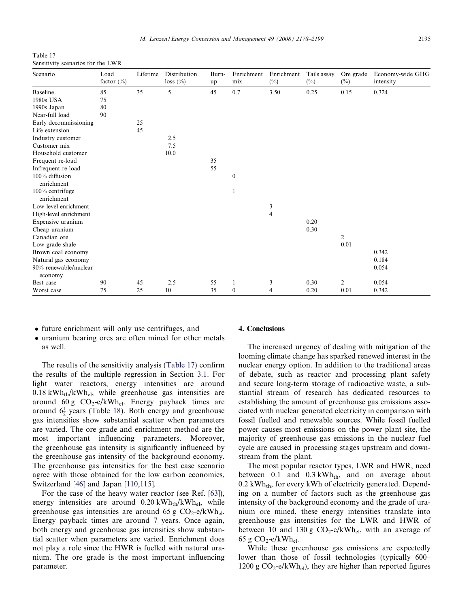Table 17 Sensitivity scenarios for the LWR

| Scenario                         | Load<br>factor $(\% )$ | Lifetime | Distribution<br>$loss (\%)$ | Burn-<br>up | Enrichment<br>mix | Enrichment<br>$(\%)$     | Tails assay<br>$(\%)$ | Ore grade<br>$(\%)$ | Economy-wide GHG<br>intensity |
|----------------------------------|------------------------|----------|-----------------------------|-------------|-------------------|--------------------------|-----------------------|---------------------|-------------------------------|
| <b>Baseline</b>                  | 85                     | 35       | 5                           | 45          | 0.7               | 3.50                     | 0.25                  | 0.15                | 0.324                         |
| 1980s USA                        | 75                     |          |                             |             |                   |                          |                       |                     |                               |
| 1990s Japan                      | 80                     |          |                             |             |                   |                          |                       |                     |                               |
| Near-full load                   | 90                     |          |                             |             |                   |                          |                       |                     |                               |
| Early decommissioning            |                        | 25       |                             |             |                   |                          |                       |                     |                               |
| Life extension                   |                        | 45       |                             |             |                   |                          |                       |                     |                               |
| Industry customer                |                        |          | 2.5                         |             |                   |                          |                       |                     |                               |
| Customer mix                     |                        |          | 7.5                         |             |                   |                          |                       |                     |                               |
| Household customer               |                        |          | 10.0                        |             |                   |                          |                       |                     |                               |
| Frequent re-load                 |                        |          |                             | 35          |                   |                          |                       |                     |                               |
| Infrequent re-load               |                        |          |                             | 55          |                   |                          |                       |                     |                               |
| 100% diffusion<br>enrichment     |                        |          |                             |             | $\mathbf{0}$      |                          |                       |                     |                               |
| 100% centrifuge<br>enrichment    |                        |          |                             |             |                   |                          |                       |                     |                               |
| Low-level enrichment             |                        |          |                             |             |                   | 3                        |                       |                     |                               |
| High-level enrichment            |                        |          |                             |             |                   | $\overline{\mathcal{L}}$ |                       |                     |                               |
| Expensive uranium                |                        |          |                             |             |                   |                          | 0.20                  |                     |                               |
| Cheap uranium                    |                        |          |                             |             |                   |                          | 0.30                  |                     |                               |
| Canadian ore                     |                        |          |                             |             |                   |                          |                       | $\overline{2}$      |                               |
| Low-grade shale                  |                        |          |                             |             |                   |                          |                       | 0.01                |                               |
| Brown coal economy               |                        |          |                             |             |                   |                          |                       |                     | 0.342                         |
| Natural gas economy              |                        |          |                             |             |                   |                          |                       |                     | 0.184                         |
| 90% renewable/nuclear<br>economy |                        |          |                             |             |                   |                          |                       |                     | 0.054                         |
| Best case                        | 90                     | 45       | 2.5                         | 55          | $\mathbf{1}$      | 3                        | 0.30                  | $\overline{2}$      | 0.054                         |
| Worst case                       | 75                     | 25       | 10                          | 35          | $\mathbf{0}$      | 4                        | 0.20                  | 0.01                | 0.342                         |

- future enrichment will only use centrifuges, and
- uranium bearing ores are often mined for other metals as well.

The results of the sensitivity analysis (Table 17) confirm the results of the multiple regression in Section [3.1](#page-11-0). For light water reactors, energy intensities are around  $0.18 \text{ kWh}_{\text{th}}/\text{kWh}_{\text{el}}$ , while greenhouse gas intensities are around 60 g  $CO_2$ -e/kWh<sub>el</sub>. Energy payback times are around  $6\frac{1}{2}$  years ([Table 18\)](#page-18-0). Both energy and greenhouse gas intensities show substantial scatter when parameters are varied. The ore grade and enrichment method are the most important influencing parameters. Moreover, the greenhouse gas intensity is significantly influenced by the greenhouse gas intensity of the background economy. The greenhouse gas intensities for the best case scenario agree with those obtained for the low carbon economies, Switzerland [\[46\]](#page-19-0) and Japan [\[110,115\].](#page-21-0)

For the case of the heavy water reactor (see Ref. [\[63\]\)](#page-20-0), energy intensities are around  $0.20 \text{ kWh}_{\text{th}}/\text{kWh}_{\text{el}}$ , while greenhouse gas intensities are around 65 g  $CO_2$ -e/kWh<sub>el</sub>. Energy payback times are around 7 years. Once again, both energy and greenhouse gas intensities show substantial scatter when parameters are varied. Enrichment does not play a role since the HWR is fuelled with natural uranium. The ore grade is the most important influencing parameter.

## 4. Conclusions

The increased urgency of dealing with mitigation of the looming climate change has sparked renewed interest in the nuclear energy option. In addition to the traditional areas of debate, such as reactor and processing plant safety and secure long-term storage of radioactive waste, a substantial stream of research has dedicated resources to establishing the amount of greenhouse gas emissions associated with nuclear generated electricity in comparison with fossil fuelled and renewable sources. While fossil fuelled power causes most emissions on the power plant site, the majority of greenhouse gas emissions in the nuclear fuel cycle are caused in processing stages upstream and downstream from the plant.

The most popular reactor types, LWR and HWR, need between 0.1 and  $0.3 \text{ kWh}_{th}$ , and on average about  $0.2$  kWh<sub>th</sub>, for every kWh of electricity generated. Depending on a number of factors such as the greenhouse gas intensity of the background economy and the grade of uranium ore mined, these energy intensities translate into greenhouse gas intensities for the LWR and HWR of between 10 and 130 g  $CO_2$ -e/kWh<sub>el</sub>, with an average of 65 g  $CO_2$ -e/kWh<sub>el</sub>.

While these greenhouse gas emissions are expectedly lower than those of fossil technologies (typically 600– 1200 g  $CO_2$ -e/kWh<sub>el</sub>), they are higher than reported figures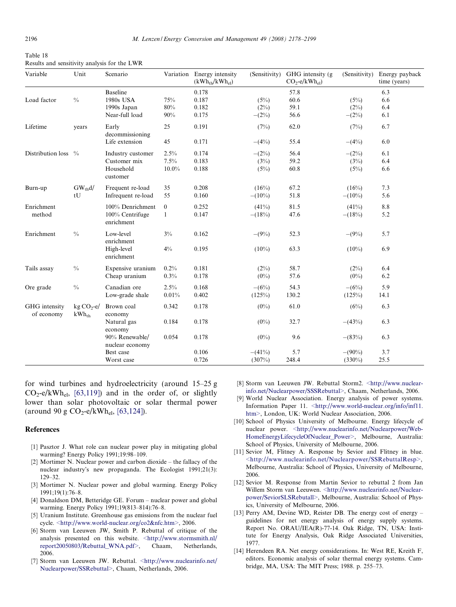<span id="page-18-0"></span>

| Table 18                                     |  |
|----------------------------------------------|--|
| Results and sensitivity analysis for the LWR |  |

| Variable                    | Unit                        | Scenario                          |              | Variation Energy intensity<br>(kWh <sub>th</sub> /kWh <sub>el</sub> ) | (Sensitivity) | GHG intensity (g)<br>$CO_2$ -e/k $Wh_{el}$ ) | (Sensitivity) | Energy payback<br>time (years) |
|-----------------------------|-----------------------------|-----------------------------------|--------------|-----------------------------------------------------------------------|---------------|----------------------------------------------|---------------|--------------------------------|
|                             |                             | <b>Baseline</b>                   |              | 0.178                                                                 |               | 57.8                                         |               | 6.3                            |
| Load factor                 | $\frac{0}{0}$               | 1980s USA                         | 75%          | 0.187                                                                 | (5%)          | 60.6                                         | (5%)          | 6.6                            |
|                             |                             | 1990s Japan                       | $80\%$       | 0.182                                                                 | $(2\%)$       | 59.1                                         | (2%)          | 6.4                            |
|                             |                             | Near-full load                    | 90%          | 0.175                                                                 | $-(2\%)$      | 56.6                                         | $-(2\%)$      | 6.1                            |
| Lifetime                    | years                       | Early<br>decommissioning          | 25           | 0.191                                                                 | (7%)          | 62.0                                         | (7%)          | 6.7                            |
|                             |                             | Life extension                    | 45           | 0.171                                                                 | $-(4%)$       | 55.4                                         | $-(4%)$       | 6.0                            |
| Distribution loss           | $^{0}/_{0}$                 | Industry customer                 | 2.5%         | 0.174                                                                 | $-(2\%)$      | 56.4                                         | $-(2\%)$      | 6.1                            |
|                             |                             | Customer mix                      | 7.5%         | 0.183                                                                 | (3%)          | 59.2                                         | (3%)          | 6.4                            |
|                             |                             | Household<br>customer             | $10.0\%$     | 0.188                                                                 | (5%)          | 60.8                                         | (5%)          | 6.6                            |
| Burn-up                     | $GW_{th}d/$                 | Frequent re-load                  | 35           | 0.208                                                                 | (16%)         | 67.2                                         | (16%)         | 7.3                            |
|                             | tU                          | Infrequent re-load                | 55           | 0.160                                                                 | $-(10\%)$     | 51.8                                         | $-(10\%)$     | 5.6                            |
| Enrichment                  |                             | 100% Denrichment                  | $\mathbf{0}$ | 0.252                                                                 | (41%)         | 81.5                                         | (41%)         | 8.8                            |
| method                      |                             | 100% Centrifuge<br>enrichment     | $\mathbf{1}$ | 0.147                                                                 | $-(18%)$      | 47.6                                         | $-(18%)$      | 5.2                            |
| Enrichment                  | $\frac{0}{0}$               | Low-level<br>enrichment           | $3\%$        | 0.162                                                                 | $-(9%)$       | 52.3                                         | $-(9%)$       | 5.7                            |
|                             |                             | High-level<br>enrichment          | $4\%$        | 0.195                                                                 | $(10\%)$      | 63.3                                         | $(10\%)$      | 6.9                            |
| Tails assay                 | $\frac{0}{0}$               | Expensive uranium                 | 0.2%         | 0.181                                                                 | (2%)          | 58.7                                         | (2%)          | 6.4                            |
|                             |                             | Cheap uranium                     | 0.3%         | 0.178                                                                 | $(0\%)$       | 57.6                                         | $(0\%)$       | 6.2                            |
| Ore grade                   | $\frac{0}{0}$               | Canadian ore                      | $2.5\%$      | 0.168                                                                 | $-(6%)$       | 54.3                                         | $-(6%)$       | 5.9                            |
|                             |                             | Low-grade shale                   | 0.01%        | 0.402                                                                 | $(125\%)$     | 130.2                                        | (125%)        | 14.1                           |
| GHG intensity<br>of economy | $kg CO2 - e/$<br>$kWh_{th}$ | Brown coal<br>economy             | 0.342        | 0.178                                                                 | $(0\%)$       | 61.0                                         | (6%)          | 6.3                            |
|                             |                             | Natural gas<br>economy            | 0.184        | 0.178                                                                 | $(0\%)$       | 32.7                                         | $-(43%)$      | 6.3                            |
|                             |                             | 90% Renewable/<br>nuclear economy | 0.054        | 0.178                                                                 | $(0\%)$       | 9.6                                          | $-(83%)$      | 6.3                            |
|                             |                             | Best case                         |              | 0.106                                                                 | $-(41%)$      | 5.7                                          | $-(90\%)$     | 3.7                            |
|                             |                             | Worst case                        |              | 0.726                                                                 | (307%)        | 248.4                                        | $(330\%)$     | 25.5                           |

for wind turbines and hydroelectricity (around 15–25 g  $CO_2$ -e/kWh<sub>el</sub>, [\[63,119\]](#page-20-0)) and in the order of, or slightly lower than solar photovoltaic or solar thermal power (around 90 g  $CO_2$ -e/kWh<sub>el</sub>, [\[63,124\]](#page-20-0)).

# References

- [1] Pasztor J. What role can nuclear power play in mitigating global warming? Energy Policy 1991;19:98–109.
- [2] Mortimer N. Nuclear power and carbon dioxide the fallacy of the nuclear industry's new propaganda. The Ecologist 1991;21(3): 129–32.
- [3] Mortimer N. Nuclear power and global warming. Energy Policy 1991;19(1):76–8.
- [4] Donaldson DM, Betteridge GE. Forum nuclear power and global warming. Energy Policy 1991;19(813–814):76–8.
- [5] Uranium Institute. Greenhouse gas emissions from the nuclear fuel cycle. [<http://www.world-nuclear.org/co2&nfc.htm>,](http://www.world-nuclear.org/co2&nfc.htm) 2006.
- [6] Storm van Leeuwen JW, Smith P. Rebuttal of critique of the analysis presented on this website. [<http://www.stormsmith.nl/](http://www.stormsmith.nl/report20050803/Rebuttal_WNA.pdf) [report20050803/Rebuttal\\_WNA.pdf>](http://www.stormsmith.nl/report20050803/Rebuttal_WNA.pdf), Chaam, Netherlands, 2006.
- [7] Storm van Leeuwen JW. Rebuttal. [<http://www.nuclearinfo.net/](http://www.nuclearinfo.net/Nuclearpower/SSRebuttal) [Nuclearpower/SSRebuttal>](http://www.nuclearinfo.net/Nuclearpower/SSRebuttal), Chaam, Netherlands, 2006.
- [8] Storm van Leeuwen JW. Rebuttal Storm2. [<http://www.nuclear](http://www.nuclearinfo.net/Nuclearpower/SSSRebuttal)[info.net/Nuclearpower/SSSRebuttal>,](http://www.nuclearinfo.net/Nuclearpower/SSSRebuttal) Chaam, Netherlands, 2006.
- [9] World Nuclear Association. Energy analysis of power systems. Information Paper 11. [<http://www.world-nuclear.org/info/inf11.](http://www.world-nuclear.org/info/inf11.htm) [htm>](http://www.world-nuclear.org/info/inf11.htm), London, UK: World Nuclear Association, 2006.
- [10] School of Physics University of Melbourne. Energy lifecycle of nuclear power. [<http://www.nuclearinfo.net/Nuclearpower/Web-](http://www.nuclearinfo.net/Nuclearpower/WebHomeEnergyLifecycleOfNuclear_Power)[HomeEnergyLifecycleOfNuclear\\_Power>](http://www.nuclearinfo.net/Nuclearpower/WebHomeEnergyLifecycleOfNuclear_Power), Melbourne, Australia: School of Physics, University of Melbourne, 2006.
- [11] Sevior M, Flitney A. Response by Sevior and Flitney in blue. [<http://www.nuclearinfo.net/Nuclearpower/SSRebuttalResp>,](http://www.nuclearinfo.net/Nuclearpower/SSRebuttalResp) Melbourne, Australia: School of Physics, University of Melbourne, 2006.
- [12] Sevior M. Response from Martin Sevior to rebuttal 2 from Jan Willem Storm van Leeuwen. [<http://www.nuclearinfo.net/Nuclear](http://www.nuclearinfo.net/Nuclearpower/SeviorSLSRebutall)[power/SeviorSLSRebutall>](http://www.nuclearinfo.net/Nuclearpower/SeviorSLSRebutall), Melbourne, Australia: School of Physics, University of Melbourne, 2006.
- [13] Perry AM, Devine WD, Reister DB. The energy cost of energy guidelines for net energy analysis of energy supply systems. Report No. ORAU/IEA(R)-77-14. Oak Ridge, TN, USA: Institute for Energy Analysis, Oak Ridge Associated Universities, 1977.
- [14] Herendeen RA. Net energy considerations. In: West RE, Kreith F, editors. Economic analysis of solar thermal energy systems. Cambridge, MA, USA: The MIT Press; 1988. p. 255–73.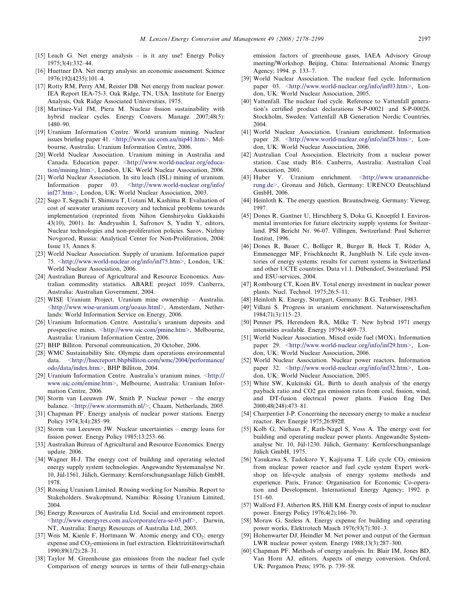- <span id="page-19-0"></span>[15] Leach G. Net energy analysis – is it any use? Energy Policy 1975;3(4):332–44.
- [16] Huettner DA. Net energy analysis: an economic assessment. Science 1976;192(4235):101–4.
- [17] Rotty RM, Perry AM, Reister DB. Net energy from nuclear power. IEA Report IEA-75-3. Oak Ridge, TN, USA: Institute for Energy Analysis, Oak Ridge Associated Universities, 1975.
- [18] Martinez-Val JM, Piera M. Nuclear fission sustainability with hybrid nuclear cycles. Energy Convers. Manage. 2007;48(5): 1480–90.
- [19] Uranium Information Centre. World uranium mining. Nuclear issues briefing paper 41. [<http://www.uic.com.au/nip41.htm>,](http://www.uic.com.au/nip41.htm) Melbourne, Australia: Uranium Information Centre, 2006.
- [20] World Nuclear Association. Uranium mining in Australia and Canada. Education paper. [<http://www.world-nuclear.org/educa](http://www.world-nuclear.org/education/mining.htm)[tion/mining.htm>](http://www.world-nuclear.org/education/mining.htm), London, UK: World Nuclear Association, 2006.
- [21] World Nuclear Association. In situ leach (ISL) mining of uranium. Information paper 03. [<http://www.world-nuclear.org/info/](http://www.world-nuclear.org/info/inf27.htm) [inf27.htm>](http://www.world-nuclear.org/info/inf27.htm), London, UK: World Nuclear Association, 2003.
- [22] Sugo T, Seguchi T, Shimizu T, Uotani M, Kashima R. Evaluation of cost of seawater uranium recovery and technical problems towards implementation (reprinted from Nihon Genshiryoku Gakkaishi 43(10), 2001). In: Andryushin I, Safronov S, Yudin Y, editors, Nuclear technologies and non-proliferation policies. Sarov, Nizhny Novgorod, Russia: Analytical Center for Non-Proliferation, 2004: Issue 13, Annex 8.
- [23] World Nuclear Association. Supply of uranium. Information paper 75. [<http://www.world-nuclear.org/info/inf75.htm>](http://www.world-nuclear.org/info/inf75.htm), London, UK: World Nuclear Association, 2006.
- [24] Australian Bureau of Agricultural and Resource Economics. Australian commodity statistics. ABARE project 1059. Canberra, Australia: Australian Government, 2004.
- [25] WISE Uranium Project. Uranium mine ownership Australia. [<http://www.wise-uranium.org/uoaus.html>,](http://www.wise-uranium.org/uoaus.html) Amsterdam, Netherlands: World Information Service on Energy, 2006.
- [26] Uranium Information Centre. Australia's uranium deposits and prospective mines. [<http://www.uic.com/pmine.htm>,](http://www.uic.com/pmine.htm) Melbourne, Australia: Uranium Information Centre, 2006.
- [27] BHP Billiton. Personal communication, 20 October, 2006.
- [28] WMC Sustainability Site. Olympic dam operations environmental data. [<http://hsecreport.bhpbilliton.com/wmc/2004/performance/](http://hsecreport.bhpbilliton.com/wmc/2004/performance/odo/data/index.htm) [odo/data/index.htm>](http://hsecreport.bhpbilliton.com/wmc/2004/performance/odo/data/index.htm), BHP Billiton, 2004.
- [29] Uranium Information Centre. Australia's uranium mines. [<http://](http://www.uic.com/emine.htm) [www.uic.com/emine.htm>,](http://www.uic.com/emine.htm) Melbourne, Australia: Uranium Information Centre, 2006.
- [30] Storm van Leeuwen JW, Smith P. Nuclear power the energy balance. [<http://www.stormsmith.nl/>,](http://www.stormsmith.nl/) Chaam, Netherlands, 2005.
- [31] Chapman PF. Energy analysis of nuclear power stations. Energy Policy 1974;3(4):285–99.
- [32] Storm van Leeuwen JW. Nuclear uncertainties energy loans for fission power. Energy Policy 1985;13:253–66.
- [33] Australian Bureau of Agricultural and Resource Economics. Energy update. 2006.
- [34] Wagner H-J. The energy cost of building and operating selected energy supply system technologies. Angewandte Systemanalyse Nr. 10, Jül-1561. Jülich, Germany: Kernforschungsanlage Jülich GmbH, 1978.
- [35] Rössing Uranium Limited. Rössing working for Namibia. Report to Stakeholders. Swakopmund, Namibia: Rössing Uranium Limited, 2004.
- [36] Energy Resources of Australia Ltd. Social and environment report. [<http://www.energyres.com.au/corporate/era-se-03.pdf](http://www.energyres.com.au/corporate/era-se-03.pdf)>, Darwin, NT, Australia: Energy Resources of Australia Ltd, 2003.
- [37] Weis M, Kienle F, Hortmann W. Atomic energy and  $CO<sub>2</sub>$ : energy expense and  $CO<sub>2</sub>$ -emissions in fuel extraction. Elektrizitätswirtschaft 1990;89(1/2):28–31.
- [38] Taylor M. Greenhouse gas emissions from the nuclear fuel cycle Comparison of energy sources in terms of their full-energy-chain

emission factors of greenhouse gases, IAEA Advisory Group meeting/Workshop. Beijing, China: International Atomic Energy Agency; 1994. p. 133–7.

- [39] World Nuclear Association. The nuclear fuel cycle. Information paper 03. [<http://www.world-nuclear.org/info/inf03.htm>,](http://www.world-nuclear.org/info/inf03.htm) London, UK: World Nuclear Association, 2005.
- [40] Vattenfall. The nuclear fuel cycle. Reference to Vattenfall generation's certified product declarations S-P-00021 and S-P-00026. Stockholm, Sweden: Vattenfall AB Generation Nordic Countries, 2004.
- [41] World Nuclear Association. Uranium enrichment. Information paper 28. [<http://www.world-nuclear.org/info/inf28.htm>,](http://www.world-nuclear.org/info/inf28.htm) London, UK: World Nuclear Association, 2006.
- [42] Australian Coal Association. Electricity from a nuclear power station. Case study B16. Canberra, Australia: Australian Coal Association, 2001.
- [43] Huber V. Uranium enrichment. [<http://www.urananreiche](http://www.urananreicherung.de)[rung.de>](http://www.urananreicherung.de), Gronau and Jülich, Germany: URENCO Deutschland GmbH, 2006.
- [44] Heinloth K. The energy question. Braunschweig. Germany: Vieweg; 1997.
- [45] Dones R, Gantner U, Hirschberg S, Doka G, Knoepfel I. Environmental inventories for future electricity supply systems for Switzerland. PSI Bericht Nr. 96-07. Villingen, Switzerland: Paul Scherrer Institut, 1996.
- [46] Dones R, Bauer C, Bolliger R, Burger B, Heck T, Röder A, Emmenegger MF, Frischknecht R, Jungbluth N. Life cycle inventories of energy systems: results for current systems in Switzerland and other UCTE countries. Data v1.1. Dübendorf, Switzerland: PSI and ESU-services, 2004.
- [47] Rombourg CT, Koen BV. Total energy investment in nuclear power plants. Nucl. Technol. 1975;26:5–11.
- [48] Heinloth K. Energy. Stuttgart, Germany: B.G. Teubner, 1983.
- [49] Villani S. Progress in uranium enrichment. Naturwissenschaften 1984;71(3):115–23.
- [50] Penner PS, Herendeen RA, Milke T. New hybrid 1971 energy intensities available. Energy 1979;4:469–73.
- [51] World Nuclear Association. Mixed oxide fuel (MOX). Information paper 29. [<http://www.world-nuclear.org/info/inf29.htm>,](http://www.world-nuclear.org/info/inf29.htm) London, UK: World Nuclear Association, 2006.
- [52] World Nuclear Association. Nuclear power reactors. Information paper 32. [<http://www.world-nuclear.org/info/inf32.htm>,](http://www.world-nuclear.org/info/inf32.htm) London, UK: World Nuclear Association, 2005.
- [53] White SW, Kulcinski GL. Birth to death analysis of the energy payback ratio and CO2 gas emission rates from coal, fission, wind, and DT-fusion electrical power plants. Fusion Eng Des 2000;48(248):473–81.
- [54] Charpentier J-P. Concerning the necessary energy to make a nuclear reactor. Rev Energie 1975;26:892ff.
- [55] Kolb G, Niehaus F, Rath-Nagel S, Voss A. The energy cost for building and operating nuclear power plants. Angewandte Systemanalyse Nr. 10, Jül-1230. Jülich, Germany: Kernforschungsanlage Jülich GmbH, 1975.
- [56] Yasukawa S, Tadokoro Y, Kajiyama T. Life cycle  $CO<sub>2</sub>$  emission from nuclear power reactor and fuel cycle system Expert workshop on life-cycle analysis of energy systems methods and experience. Paris, France: Organisation for Economic Co-operation and Development, International Energy Agency; 1992. p. 151–60.
- [57] Walford FJ, Atherton RS, Hill KM. Energy costs of input to nuclear power. Energy Policy 1976;4(2):166–70.
- [58] Moraw G, Szeless A. Energy expense for building and operating power works. Elektrotech Masch 1976;93(7):301–3.
- [59] Hohenwarter DJ, Heindler M. Net power and output of the German LWR nuclear power system. Energy 1988;13(3):287–300.
- [60] Chapman PF. Methods of energy analysis. In: Blair IM, Jones BD, Van Horn AJ, editors. Aspects of energy conversion. Oxford, UK: Pergamon Press; 1976. p. 739–58.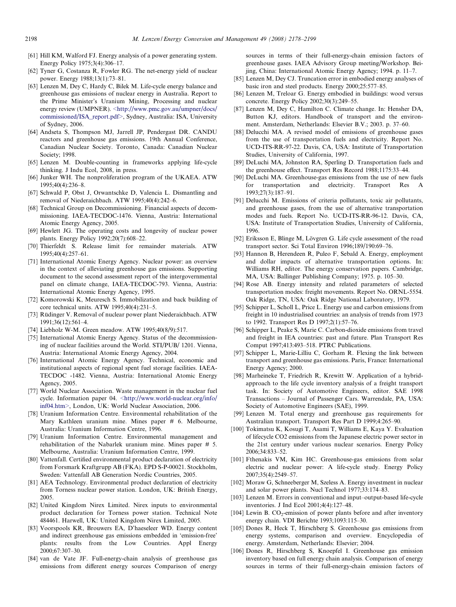- <span id="page-20-0"></span>[61] Hill KM, Walford FJ. Energy analysis of a power generating system. Energy Policy 1975;3(4):306–17.
- [62] Tyner G, Costanza R, Fowler RG. The net-energy yield of nuclear power. Energy 1988;13(1):73–81.
- [63] Lenzen M, Dey C, Hardy C, Bilek M. Life-cycle energy balance and greenhouse gas emissions of nuclear energy in Australia. Report to the Prime Minister's Uranium Mining, Processing and nuclear energy review (UMPNER). [<http://www.pmc.gov.au/umpner/docs/](http://www.pmc.gov.au/umpner/docs/commissioned/ISA_report.pdf) [commissioned/ISA\\_report.pdf>,](http://www.pmc.gov.au/umpner/docs/commissioned/ISA_report.pdf) Sydney, Australia: ISA, University of Sydney, 2006.
- [64] Andseta S, Thompson MJ, Jarrell JP, Pendergast DR. CANDU reactors and greenhouse gas emissions. 19th Annual Conference, Canadian Nuclear Society. Toronto, Canada: Canadian Nuclear Society; 1998.
- [65] Lenzen M. Double-counting in frameworks applying life-cycle thinking. J Indu Ecol, 2008, in press.
- [66] Junker WH. The nonproliferation program of the UKAEA. ATW 1995;40(4):236–8.
- [67] Schwald P, Obst J, Orwantschke D, Valencia L. Dismantling and removal of Niederaichbach. ATW 1995;40(4):242–6.
- [68] Technical Group on Decommissioning. Financial aspects of decommissioning. IAEA-TECDOC-1476. Vienna, Austria: International Atomic Energy Agency, 2005.
- [69] Hewlett JG. The operating costs and longevity of nuclear power plants. Energy Policy 1992;20(7):608–22.
- [70] Thierfeldt S. Release limit for remainder materials. ATW 1995;40(4):257–61.
- [71] International Atomic Energy Agency. Nuclear power: an overview in the context of alleviating greenhouse gas emissions. Supporting document to the second assessment report of the intergovernmental panel on climate change, IAEA-TECDOC-793. Vienna, Austria: International Atomic Energy Agency, 1995.
- [72] Komorowski K, Meuresch S. Immobilization and back building of core technical units. ATW 1995;40(4):231–5.
- [73] Rüdinger V. Removal of nuclear power plant Niederaichbach. ATW 1991;36(12):561–4.
- [74] Liebholz W-M. Green meadow. ATW 1995;40(8/9):517.
- [75] International Atomic Energy Agency. Status of the decommissioning of nuclear facilities around the World. STI/PUB/ 1201. Vienna, Austria: International Atomic Energy Agency, 2004.
- [76] International Atomic Energy Agency. Technical, economic and institutional aspects of regional spent fuel storage facilities. IAEA-TECDOC -1482. Vienna, Austria: International Atomic Energy Agency, 2005.
- [77] World Nuclear Association. Waste management in the nuclear fuel cycle. Information paper 04. [<http://www.world-nuclear.org/info/](http://www.world-nuclear.org/info/inf04.htm) [inf04.htm>](http://www.world-nuclear.org/info/inf04.htm), London, UK: World Nuclear Association, 2006.
- [78] Uranium Information Centre. Environmental rehabilitation of the Mary Kathleen uranium mine. Mines paper # 6. Melbourne, Australia: Uranium Information Centre, 1996.
- [79] Uranium Information Centre. Environmental management and rehabilitation of the Nabarlek uranium mine. Mines paper # 5. Melbourne, Australia: Uranium Information Centre, 1999.
- [80] Vattenfall. Certified environmental product declaration of electricity from Forsmark Kraftgrupp AB (FKA). EPD S-P-00021. Stockholm, Sweden: Vattenfall AB Generation Nordic Countries, 2005.
- [81] AEA Technology. Environmental product declaration of electricity from Torness nuclear power station. London, UK: British Energy, 2005.
- [82] United Kingdom Nirex Limited. Nirex inputs to environmental product declaration for Torness power station. Technical Note 484461. Harwell, UK: United Kingdom Nirex Limited, 2005.
- [83] Voorspools KR, Brouwers EA, D'haeseleer WD. Energy content and indirect greenhouse gas emissions embedded in 'emission-free' plants: results from the Low Countries. Appl Energy 2000;67:307–30.
- [84] van de Vate JF. Full-energy-chain analysis of greenhouse gas emissions from different energy sources Comparison of energy

sources in terms of their full-energy-chain emission factors of greenhouse gases. IAEA Advisory Group meeting/Workshop. Beijing, China: International Atomic Energy Agency; 1994. p. 11–7.

- [85] Lenzen M, Dey CJ. Truncation error in embodied energy analyses of basic iron and steel products. Energy 2000;25:577–85.
- [86] Lenzen M, Treloar G. Energy embodied in buildings: wood versus concrete. Energy Policy 2002;30(3):249–55.
- [87] Lenzen M, Dey C, Hamilton C. Climate change. In: Hensher DA, Button KJ, editors. Handbook of transport and the environment. Amsterdam, Netherlands: Elsevier B.V.; 2003. p. 37–60.
- [88] Delucchi MA. A revised model of emissions of greenhouse gases from the use of transportation fuels and electricity. Report No. UCD-ITS-RR-97-22. Davis, CA, USA: Institute of Transportation Studies, University of California, 1997.
- [89] DeLuchi MA, Johnston RA, Sperling D. Transportation fuels and the greenhouse effect. Transport Res Record 1988;1175:33–44.
- [90] DeLuchi MA. Greenhouse-gas emissions from the use of new fuels for transportation and electricity. Transport Res A 1993;27(3):187–91.
- [91] Delucchi M. Emissions of criteria pollutants, toxic air pollutants, and greenhouse gases, from the use of alternative transportation modes and fuels. Report No. UCD-ITS-RR-96-12. Davis, CA, USA: Institute of Transportation Studies, University of California, 1996.
- [92] Eriksson E, Blinge M, Lövgren G. Life cycle assessment of the road transport sector. Sci Total Environ 1996;189/190:69–76.
- [93] Hannon B, Herendeen R, Puleo F, Sebald A. Energy, employment and dollar impacts of alternative transportation options. In: Williams RH, editor. The energy conservation papers. Cambridge, MA, USA: Ballinger Publishing Company; 1975. p. 105–30.
- [94] Rose AB. Energy intensity and related parameters of selected transportation modes: freight movements. Report No. ORNL-5554. Oak Ridge, TN, USA: Oak Ridge National Laboratory, 1979.
- [95] Schipper L, Scholl L, Price L. Energy use and carbon emissions from freight in 10 industrialised countries: an analysis of trends from 1973 to 1992. Transport Res D 1997;2(1):57–76.
- [96] Schipper L, Peake S, Marie C. Carbon-dioxide emissions from travel and freight in IEA countries: past and future. Plan Transport Res Comput 1997;413:493–518. PTRC Publications.
- [97] Schipper L, Marie-Lilliu C, Gorham R. Flexing the link between transport and greenhouse gas emissions. Paris, France: International Energy Agency; 2000.
- [98] Marheineke T, Friedrich R, Krewitt W. Application of a hybridapproach to the life cycle inventory analysis of a freight transport task. In: Society of Automotive Engineers, editor. SAE 1998 Transactions – Journal of Passenger Cars. Warrendale, PA, USA: Society of Automotive Engineers (SAE), 1999.
- [99] Lenzen M. Total energy and greenhouse gas requirements for Australian transport. Transport Res Part D 1999;4:265–90.
- [100] Tokimatsu K, Kosugi T, Asami T, Williams E, Kaya Y. Evaluation of lifecycle CO2 emissions from the Japanese electric power sector in the 21st century under various nuclear scenarios. Energy Policy 2006;34:833–52.
- [101] Fthenakis VM, Kim HC. Greenhouse-gas emissions from solar electric and nuclear power: A life-cycle study. Energy Policy 2007;35(4):2549–57.
- [102] Moraw G, Schneeberger M, Szeless A. Energy investment in nuclear and solar power plants. Nucl Technol 1977;33:174–83.
- [103] Lenzen M. Errors in conventional and input–output-based life-cycle inventories. J Ind Ecol 2001;4(4):127–48.
- [104] Lewin B. CO<sub>2</sub>-emission of power plants before and after inventory energy chain. VDI Berichte 1993;1093:115–30.
- [105] Dones R, Heck T, Hirschberg S. Greenhouse gas emissions from energy systems, comparison and overview. Encyclopedia of energy. Amsterdam, Netherlands: Elsevier; 2004.
- [106] Dones R, Hirschberg S, Knoepfel I. Greenhouse gas emission inventory based on full energy chain analysis. Comparison of energy sources in terms of their full-energy-chain emission factors of